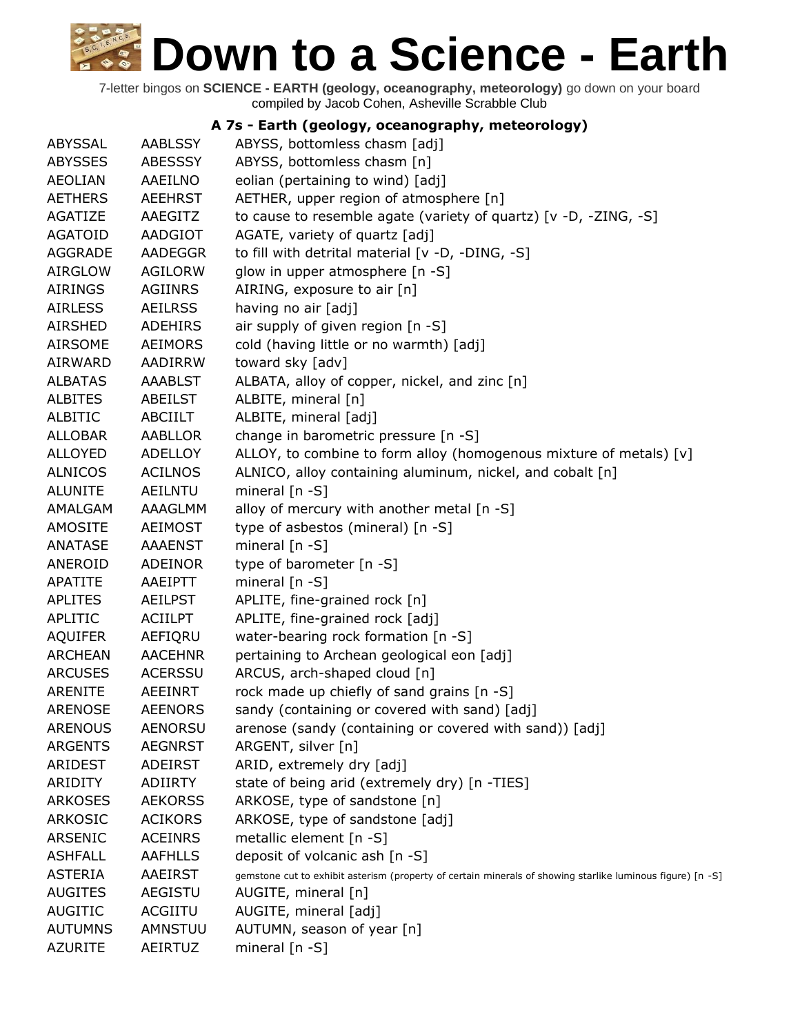7-letter bingos on **SCIENCE - EARTH (geology, oceanography, meteorology)** go down on your board compiled by Jacob Cohen, Asheville Scrabble Club

#### **A 7s - Earth (geology, oceanography, meteorology)**

| <b>ABYSSAL</b> | <b>AABLSSY</b> | ABYSS, bottomless chasm [adj]                                                                              |
|----------------|----------------|------------------------------------------------------------------------------------------------------------|
| <b>ABYSSES</b> | <b>ABESSSY</b> | ABYSS, bottomless chasm [n]                                                                                |
| <b>AEOLIAN</b> | AAEILNO        | eolian (pertaining to wind) [adj]                                                                          |
| <b>AETHERS</b> | <b>AEEHRST</b> | AETHER, upper region of atmosphere [n]                                                                     |
| AGATIZE        | AAEGITZ        | to cause to resemble agate (variety of quartz) [v -D, -ZING, -S]                                           |
| <b>AGATOID</b> | AADGIOT        | AGATE, variety of quartz [adj]                                                                             |
| <b>AGGRADE</b> | <b>AADEGGR</b> | to fill with detrital material [v -D, -DING, -S]                                                           |
| <b>AIRGLOW</b> | <b>AGILORW</b> | glow in upper atmosphere [n -S]                                                                            |
| <b>AIRINGS</b> | <b>AGIINRS</b> | AIRING, exposure to air [n]                                                                                |
| <b>AIRLESS</b> | <b>AEILRSS</b> | having no air [adj]                                                                                        |
| <b>AIRSHED</b> | <b>ADEHIRS</b> | air supply of given region [n -S]                                                                          |
| <b>AIRSOME</b> | <b>AEIMORS</b> | cold (having little or no warmth) [adj]                                                                    |
| AIRWARD        | AADIRRW        | toward sky [adv]                                                                                           |
| <b>ALBATAS</b> | <b>AAABLST</b> | ALBATA, alloy of copper, nickel, and zinc [n]                                                              |
| <b>ALBITES</b> | ABEILST        | ALBITE, mineral [n]                                                                                        |
| <b>ALBITIC</b> | ABCIILT        | ALBITE, mineral [adj]                                                                                      |
| <b>ALLOBAR</b> | AABLLOR        | change in barometric pressure [n -S]                                                                       |
| <b>ALLOYED</b> | <b>ADELLOY</b> | ALLOY, to combine to form alloy (homogenous mixture of metals) [v]                                         |
| <b>ALNICOS</b> | <b>ACILNOS</b> | ALNICO, alloy containing aluminum, nickel, and cobalt [n]                                                  |
| <b>ALUNITE</b> | <b>AEILNTU</b> | mineral $[n - S]$                                                                                          |
| AMALGAM        | AAAGLMM        | alloy of mercury with another metal [n -S]                                                                 |
| <b>AMOSITE</b> | <b>AEIMOST</b> | type of asbestos (mineral) [n -S]                                                                          |
| <b>ANATASE</b> | <b>AAAENST</b> | mineral $[n - S]$                                                                                          |
| ANEROID        | <b>ADEINOR</b> | type of barometer [n -S]                                                                                   |
| <b>APATITE</b> | AAEIPTT        | mineral $[n - S]$                                                                                          |
| <b>APLITES</b> | <b>AEILPST</b> | APLITE, fine-grained rock [n]                                                                              |
| APLITIC        | <b>ACIILPT</b> | APLITE, fine-grained rock [adj]                                                                            |
| <b>AQUIFER</b> | AEFIQRU        | water-bearing rock formation [n -S]                                                                        |
| <b>ARCHEAN</b> | <b>AACEHNR</b> | pertaining to Archean geological eon [adj]                                                                 |
| <b>ARCUSES</b> | <b>ACERSSU</b> | ARCUS, arch-shaped cloud [n]                                                                               |
| <b>ARENITE</b> | AEEINRT        | rock made up chiefly of sand grains [n -S]                                                                 |
| <b>ARENOSE</b> | <b>AEENORS</b> | sandy (containing or covered with sand) [adj]                                                              |
| <b>ARENOUS</b> | <b>AENORSU</b> | arenose (sandy (containing or covered with sand)) [adj]                                                    |
| <b>ARGENTS</b> | <b>AEGNRST</b> | ARGENT, silver [n]                                                                                         |
| ARIDEST        | <b>ADEIRST</b> | ARID, extremely dry [adj]                                                                                  |
| <b>ARIDITY</b> | <b>ADIIRTY</b> | state of being arid (extremely dry) [n -TIES]                                                              |
| <b>ARKOSES</b> | <b>AEKORSS</b> | ARKOSE, type of sandstone [n]                                                                              |
| <b>ARKOSIC</b> | <b>ACIKORS</b> | ARKOSE, type of sandstone [adj]                                                                            |
| ARSENIC        | <b>ACEINRS</b> | metallic element [n -S]                                                                                    |
| <b>ASHFALL</b> | <b>AAFHLLS</b> | deposit of volcanic ash [n -S]                                                                             |
| <b>ASTERIA</b> | AAEIRST        | gemstone cut to exhibit asterism (property of certain minerals of showing starlike luminous figure) [n -S] |
| <b>AUGITES</b> | <b>AEGISTU</b> | AUGITE, mineral [n]                                                                                        |
| <b>AUGITIC</b> | <b>ACGIITU</b> | AUGITE, mineral [adj]                                                                                      |
| <b>AUTUMNS</b> | AMNSTUU        | AUTUMN, season of year [n]                                                                                 |
| <b>AZURITE</b> | AEIRTUZ        | mineral $[n - S]$                                                                                          |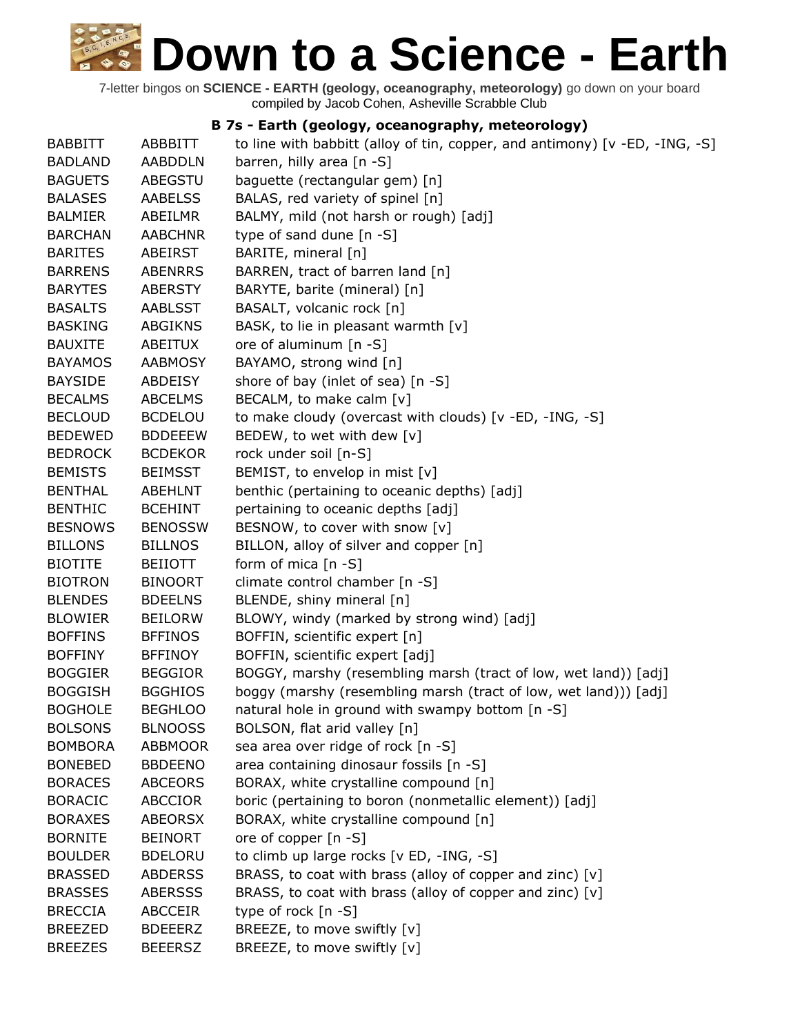7-letter bingos on **SCIENCE - EARTH (geology, oceanography, meteorology)** go down on your board compiled by Jacob Cohen, Asheville Scrabble Club

#### **B 7s - Earth (geology, oceanography, meteorology)**

| <b>BABBITT</b> | ABBBITT        | to line with babbitt (alloy of tin, copper, and antimony) [v -ED, -ING, -S] |
|----------------|----------------|-----------------------------------------------------------------------------|
| <b>BADLAND</b> | <b>AABDDLN</b> | barren, hilly area [n -S]                                                   |
| <b>BAGUETS</b> | ABEGSTU        | baguette (rectangular gem) [n]                                              |
| <b>BALASES</b> | <b>AABELSS</b> | BALAS, red variety of spinel [n]                                            |
| <b>BALMIER</b> | ABEILMR        | BALMY, mild (not harsh or rough) [adj]                                      |
| <b>BARCHAN</b> | <b>AABCHNR</b> | type of sand dune [n -S]                                                    |
| <b>BARITES</b> | ABEIRST        | BARITE, mineral [n]                                                         |
| <b>BARRENS</b> | <b>ABENRRS</b> | BARREN, tract of barren land [n]                                            |
| <b>BARYTES</b> | <b>ABERSTY</b> | BARYTE, barite (mineral) [n]                                                |
| <b>BASALTS</b> | <b>AABLSST</b> | BASALT, volcanic rock [n]                                                   |
| <b>BASKING</b> | <b>ABGIKNS</b> | BASK, to lie in pleasant warmth [v]                                         |
| <b>BAUXITE</b> | ABEITUX        | ore of aluminum [n -S]                                                      |
| <b>BAYAMOS</b> | <b>AABMOSY</b> | BAYAMO, strong wind [n]                                                     |
| <b>BAYSIDE</b> | ABDEISY        | shore of bay (inlet of sea) [n -S]                                          |
| <b>BECALMS</b> | <b>ABCELMS</b> | BECALM, to make calm [v]                                                    |
| <b>BECLOUD</b> | <b>BCDELOU</b> | to make cloudy (overcast with clouds) [v -ED, -ING, -S]                     |
| <b>BEDEWED</b> | <b>BDDEEEW</b> | BEDEW, to wet with dew [v]                                                  |
| <b>BEDROCK</b> | <b>BCDEKOR</b> | rock under soil [n-S]                                                       |
| <b>BEMISTS</b> | <b>BEIMSST</b> | BEMIST, to envelop in mist [v]                                              |
| <b>BENTHAL</b> | <b>ABEHLNT</b> | benthic (pertaining to oceanic depths) [adj]                                |
| <b>BENTHIC</b> | <b>BCEHINT</b> | pertaining to oceanic depths [adj]                                          |
| <b>BESNOWS</b> | <b>BENOSSW</b> | BESNOW, to cover with snow [v]                                              |
| <b>BILLONS</b> | <b>BILLNOS</b> | BILLON, alloy of silver and copper [n]                                      |
| <b>BIOTITE</b> | <b>BEIIOTT</b> | form of mica $[n - S]$                                                      |
| <b>BIOTRON</b> | <b>BINOORT</b> | climate control chamber [n -S]                                              |
| <b>BLENDES</b> | <b>BDEELNS</b> | BLENDE, shiny mineral [n]                                                   |
| <b>BLOWIER</b> | <b>BEILORW</b> | BLOWY, windy (marked by strong wind) [adj]                                  |
| <b>BOFFINS</b> | <b>BFFINOS</b> | BOFFIN, scientific expert [n]                                               |
| <b>BOFFINY</b> | <b>BFFINOY</b> | BOFFIN, scientific expert [adj]                                             |
| <b>BOGGIER</b> | <b>BEGGIOR</b> | BOGGY, marshy (resembling marsh (tract of low, wet land)) [adj]             |
| <b>BOGGISH</b> | <b>BGGHIOS</b> | boggy (marshy (resembling marsh (tract of low, wet land))) [adj]            |
| <b>BOGHOLE</b> | <b>BEGHLOO</b> | natural hole in ground with swampy bottom [n -S]                            |
| <b>BOLSONS</b> | <b>BLNOOSS</b> | BOLSON, flat arid valley [n]                                                |
| <b>BOMBORA</b> | <b>ABBMOOR</b> | sea area over ridge of rock [n -S]                                          |
| <b>BONEBED</b> | <b>BBDEENO</b> | area containing dinosaur fossils [n -S]                                     |
| <b>BORACES</b> | <b>ABCEORS</b> | BORAX, white crystalline compound [n]                                       |
| <b>BORACIC</b> | <b>ABCCIOR</b> | boric (pertaining to boron (nonmetallic element)) [adj]                     |
| <b>BORAXES</b> | <b>ABEORSX</b> | BORAX, white crystalline compound [n]                                       |
| <b>BORNITE</b> | <b>BEINORT</b> | ore of copper $[n - S]$                                                     |
| <b>BOULDER</b> | <b>BDELORU</b> | to climb up large rocks [v ED, -ING, -S]                                    |
| <b>BRASSED</b> | <b>ABDERSS</b> | BRASS, to coat with brass (alloy of copper and zinc) [v]                    |
| <b>BRASSES</b> | <b>ABERSSS</b> | BRASS, to coat with brass (alloy of copper and zinc) [v]                    |
| <b>BRECCIA</b> | <b>ABCCEIR</b> | type of rock $[n - S]$                                                      |
| <b>BREEZED</b> | <b>BDEEERZ</b> | BREEZE, to move swiftly [v]                                                 |
| <b>BREEZES</b> | <b>BEEERSZ</b> | BREEZE, to move swiftly [v]                                                 |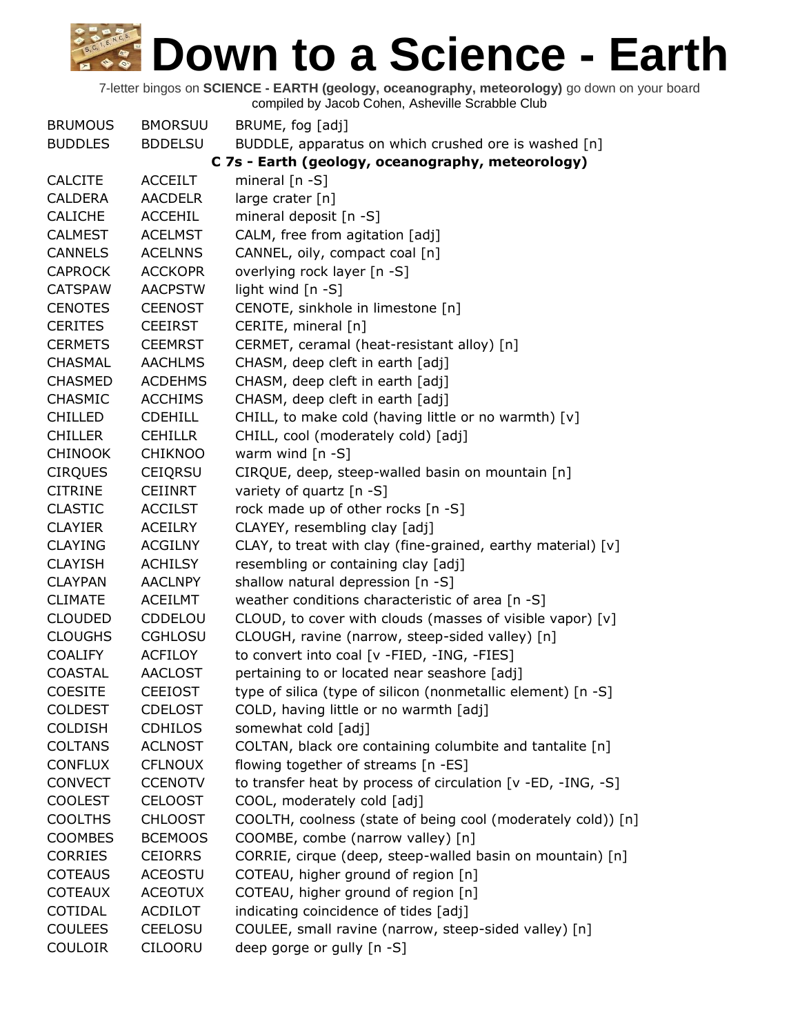| <b>BRUMOUS</b> | <b>BMORSUU</b> | BRUME, fog [adj]                                             |
|----------------|----------------|--------------------------------------------------------------|
| <b>BUDDLES</b> | <b>BDDELSU</b> | BUDDLE, apparatus on which crushed ore is washed [n]         |
|                |                | C 7s - Earth (geology, oceanography, meteorology)            |
| <b>CALCITE</b> | <b>ACCEILT</b> | mineral $[n - S]$                                            |
| <b>CALDERA</b> | <b>AACDELR</b> | large crater [n]                                             |
| <b>CALICHE</b> | <b>ACCEHIL</b> | mineral deposit [n -S]                                       |
| <b>CALMEST</b> | <b>ACELMST</b> | CALM, free from agitation [adj]                              |
| <b>CANNELS</b> | <b>ACELNNS</b> | CANNEL, oily, compact coal [n]                               |
| <b>CAPROCK</b> | <b>ACCKOPR</b> | overlying rock layer [n -S]                                  |
| <b>CATSPAW</b> | <b>AACPSTW</b> | light wind [n -S]                                            |
| <b>CENOTES</b> | <b>CEENOST</b> | CENOTE, sinkhole in limestone [n]                            |
| <b>CERITES</b> | <b>CEEIRST</b> | CERITE, mineral [n]                                          |
| <b>CERMETS</b> | <b>CEEMRST</b> | CERMET, ceramal (heat-resistant alloy) [n]                   |
| <b>CHASMAL</b> | <b>AACHLMS</b> | CHASM, deep cleft in earth [adj]                             |
| <b>CHASMED</b> | <b>ACDEHMS</b> | CHASM, deep cleft in earth [adj]                             |
| <b>CHASMIC</b> | <b>ACCHIMS</b> | CHASM, deep cleft in earth [adj]                             |
| <b>CHILLED</b> | <b>CDEHILL</b> | CHILL, to make cold (having little or no warmth) [v]         |
| <b>CHILLER</b> | <b>CEHILLR</b> | CHILL, cool (moderately cold) [adj]                          |
| <b>CHINOOK</b> | <b>CHIKNOO</b> | warm wind $[n -S]$                                           |
| <b>CIRQUES</b> | <b>CEIQRSU</b> | CIRQUE, deep, steep-walled basin on mountain [n]             |
| <b>CITRINE</b> | <b>CEIINRT</b> | variety of quartz [n -S]                                     |
| <b>CLASTIC</b> | <b>ACCILST</b> | rock made up of other rocks [n -S]                           |
| <b>CLAYIER</b> | <b>ACEILRY</b> | CLAYEY, resembling clay [adj]                                |
| <b>CLAYING</b> | <b>ACGILNY</b> | CLAY, to treat with clay (fine-grained, earthy material) [v] |
| <b>CLAYISH</b> | <b>ACHILSY</b> | resembling or containing clay [adj]                          |
| <b>CLAYPAN</b> | <b>AACLNPY</b> | shallow natural depression [n -S]                            |
| <b>CLIMATE</b> | <b>ACEILMT</b> | weather conditions characteristic of area [n -S]             |
| <b>CLOUDED</b> | CDDELOU        | CLOUD, to cover with clouds (masses of visible vapor) [v]    |
| <b>CLOUGHS</b> | <b>CGHLOSU</b> | CLOUGH, ravine (narrow, steep-sided valley) [n]              |
| <b>COALIFY</b> | <b>ACFILOY</b> | to convert into coal [v -FIED, -ING, -FIES]                  |
| <b>COASTAL</b> | <b>AACLOST</b> | pertaining to or located near seashore [adj]                 |
| <b>COESITE</b> | <b>CEEIOST</b> | type of silica (type of silicon (nonmetallic element) [n -S] |
| <b>COLDEST</b> | <b>CDELOST</b> | COLD, having little or no warmth [adj]                       |
| <b>COLDISH</b> | <b>CDHILOS</b> | somewhat cold [adj]                                          |
| <b>COLTANS</b> | <b>ACLNOST</b> | COLTAN, black ore containing columbite and tantalite [n]     |
| <b>CONFLUX</b> | <b>CFLNOUX</b> | flowing together of streams [n -ES]                          |
| <b>CONVECT</b> | <b>CCENOTV</b> | to transfer heat by process of circulation [v -ED, -ING, -S] |
| <b>COOLEST</b> | <b>CELOOST</b> | COOL, moderately cold [adj]                                  |
| <b>COOLTHS</b> | <b>CHLOOST</b> | COOLTH, coolness (state of being cool (moderately cold)) [n] |
| <b>COOMBES</b> | <b>BCEMOOS</b> | COOMBE, combe (narrow valley) [n]                            |
| <b>CORRIES</b> | <b>CEIORRS</b> | CORRIE, cirque (deep, steep-walled basin on mountain) [n]    |
| <b>COTEAUS</b> | <b>ACEOSTU</b> | COTEAU, higher ground of region [n]                          |
| <b>COTEAUX</b> | <b>ACEOTUX</b> | COTEAU, higher ground of region [n]                          |
| COTIDAL        | <b>ACDILOT</b> | indicating coincidence of tides [adj]                        |
| <b>COULEES</b> | <b>CEELOSU</b> | COULEE, small ravine (narrow, steep-sided valley) [n]        |
| <b>COULOIR</b> | <b>CILOORU</b> | deep gorge or gully [n -S]                                   |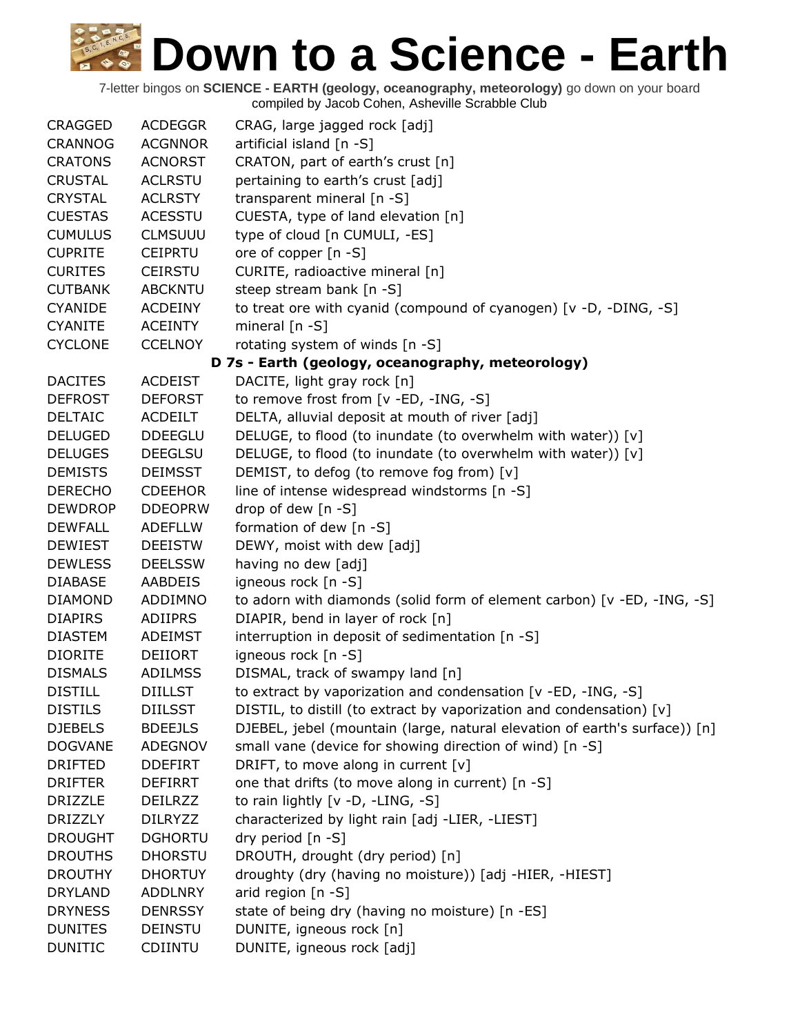| <b>CRAGGED</b> | <b>ACDEGGR</b> | CRAG, large jagged rock [adj]                                              |
|----------------|----------------|----------------------------------------------------------------------------|
| <b>CRANNOG</b> | <b>ACGNNOR</b> | artificial island [n -S]                                                   |
| <b>CRATONS</b> | <b>ACNORST</b> | CRATON, part of earth's crust [n]                                          |
| <b>CRUSTAL</b> | <b>ACLRSTU</b> | pertaining to earth's crust [adj]                                          |
| <b>CRYSTAL</b> | <b>ACLRSTY</b> | transparent mineral [n -S]                                                 |
| <b>CUESTAS</b> | <b>ACESSTU</b> | CUESTA, type of land elevation [n]                                         |
| <b>CUMULUS</b> | <b>CLMSUUU</b> | type of cloud [n CUMULI, -ES]                                              |
| <b>CUPRITE</b> | <b>CEIPRTU</b> | ore of copper [n -S]                                                       |
| <b>CURITES</b> | <b>CEIRSTU</b> | CURITE, radioactive mineral [n]                                            |
| <b>CUTBANK</b> | <b>ABCKNTU</b> | steep stream bank [n -S]                                                   |
| <b>CYANIDE</b> | <b>ACDEINY</b> | to treat ore with cyanid (compound of cyanogen) [v -D, -DING, -S]          |
| <b>CYANITE</b> | <b>ACEINTY</b> | mineral $[n - S]$                                                          |
| <b>CYCLONE</b> | <b>CCELNOY</b> | rotating system of winds [n -S]                                            |
|                |                | D 7s - Earth (geology, oceanography, meteorology)                          |
| <b>DACITES</b> | <b>ACDEIST</b> | DACITE, light gray rock [n]                                                |
| <b>DEFROST</b> | <b>DEFORST</b> | to remove frost from [v -ED, -ING, -S]                                     |
| <b>DELTAIC</b> | <b>ACDEILT</b> | DELTA, alluvial deposit at mouth of river [adj]                            |
| <b>DELUGED</b> | <b>DDEEGLU</b> | DELUGE, to flood (to inundate (to overwhelm with water)) [v]               |
| <b>DELUGES</b> | <b>DEEGLSU</b> | DELUGE, to flood (to inundate (to overwhelm with water)) [v]               |
| <b>DEMISTS</b> | <b>DEIMSST</b> | DEMIST, to defog (to remove fog from) [v]                                  |
| <b>DERECHO</b> | <b>CDEEHOR</b> | line of intense widespread windstorms [n -S]                               |
| <b>DEWDROP</b> | <b>DDEOPRW</b> | drop of dew [n -S]                                                         |
| <b>DEWFALL</b> | <b>ADEFLLW</b> | formation of dew [n -S]                                                    |
| <b>DEWIEST</b> | <b>DEEISTW</b> | DEWY, moist with dew [adj]                                                 |
| <b>DEWLESS</b> | <b>DEELSSW</b> | having no dew [adj]                                                        |
| <b>DIABASE</b> | <b>AABDEIS</b> | igneous rock [n -S]                                                        |
| <b>DIAMOND</b> | ADDIMNO        | to adorn with diamonds (solid form of element carbon) [v -ED, -ING, -S]    |
| <b>DIAPIRS</b> | <b>ADIIPRS</b> | DIAPIR, bend in layer of rock [n]                                          |
| <b>DIASTEM</b> | <b>ADEIMST</b> | interruption in deposit of sedimentation [n -S]                            |
| <b>DIORITE</b> | <b>DEIIORT</b> | igneous rock [n -S]                                                        |
| <b>DISMALS</b> | <b>ADILMSS</b> | DISMAL, track of swampy land [n]                                           |
| <b>DISTILL</b> | <b>DIILLST</b> | to extract by vaporization and condensation [v -ED, -ING, -S]              |
| <b>DISTILS</b> | <b>DIILSST</b> | DISTIL, to distill (to extract by vaporization and condensation) [v]       |
| <b>DJEBELS</b> | <b>BDEEJLS</b> | DJEBEL, jebel (mountain (large, natural elevation of earth's surface)) [n] |
| <b>DOGVANE</b> | ADEGNOV        | small vane (device for showing direction of wind) [n -S]                   |
| <b>DRIFTED</b> | <b>DDEFIRT</b> | DRIFT, to move along in current [v]                                        |
| <b>DRIFTER</b> | <b>DEFIRRT</b> | one that drifts (to move along in current) [n -S]                          |
| <b>DRIZZLE</b> | <b>DEILRZZ</b> | to rain lightly [v -D, -LING, -S]                                          |
| <b>DRIZZLY</b> | <b>DILRYZZ</b> | characterized by light rain [adj -LIER, -LIEST]                            |
| <b>DROUGHT</b> | <b>DGHORTU</b> | dry period [n -S]                                                          |
| <b>DROUTHS</b> | <b>DHORSTU</b> | DROUTH, drought (dry period) [n]                                           |
| <b>DROUTHY</b> | <b>DHORTUY</b> | droughty (dry (having no moisture)) [adj -HIER, -HIEST]                    |
| <b>DRYLAND</b> | <b>ADDLNRY</b> | arid region [n -S]                                                         |
| <b>DRYNESS</b> | <b>DENRSSY</b> | state of being dry (having no moisture) [n -ES]                            |
| <b>DUNITES</b> | <b>DEINSTU</b> | DUNITE, igneous rock [n]                                                   |
| <b>DUNITIC</b> | <b>CDIINTU</b> | DUNITE, igneous rock [adj]                                                 |
|                |                |                                                                            |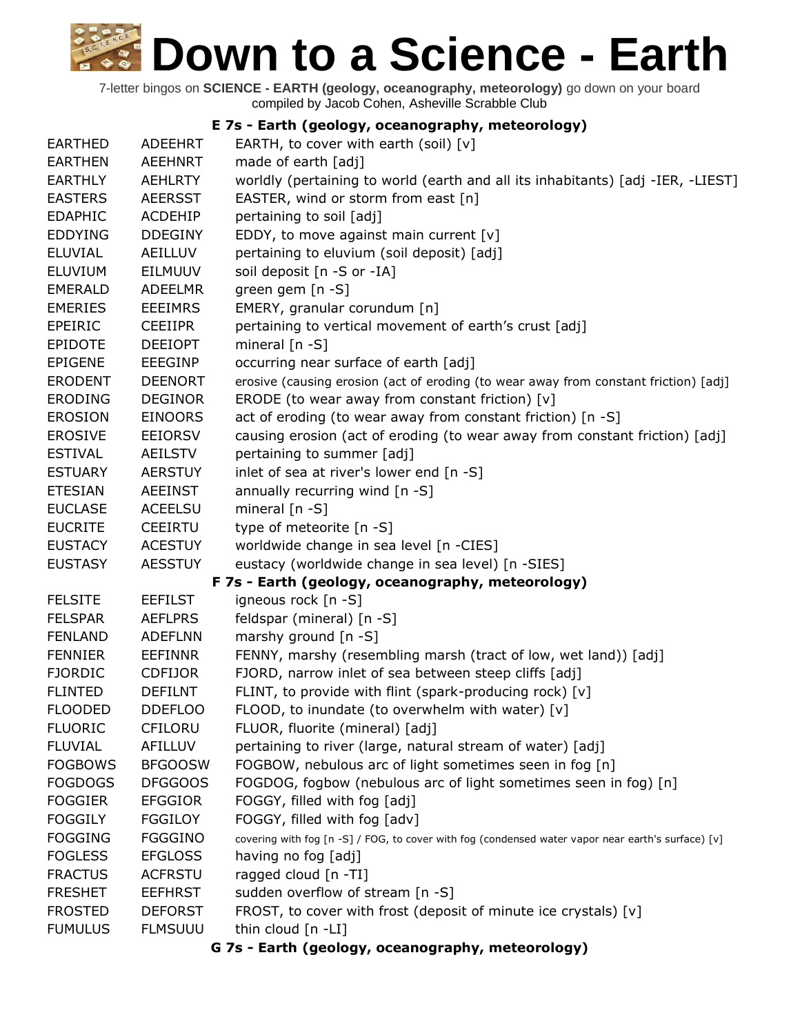7-letter bingos on **SCIENCE - EARTH (geology, oceanography, meteorology)** go down on your board compiled by Jacob Cohen, Asheville Scrabble Club

#### **E 7s - Earth (geology, oceanography, meteorology)**

| <b>EARTHED</b> | <b>ADEEHRT</b> | EARTH, to cover with earth (soil) $[v]$                                                            |
|----------------|----------------|----------------------------------------------------------------------------------------------------|
| <b>EARTHEN</b> | <b>AEEHNRT</b> | made of earth [adj]                                                                                |
| <b>EARTHLY</b> | <b>AEHLRTY</b> | worldly (pertaining to world (earth and all its inhabitants) [adj -IER, -LIEST]                    |
| <b>EASTERS</b> | <b>AEERSST</b> | EASTER, wind or storm from east [n]                                                                |
| <b>EDAPHIC</b> | <b>ACDEHIP</b> | pertaining to soil [adj]                                                                           |
| <b>EDDYING</b> | <b>DDEGINY</b> | EDDY, to move against main current $[v]$                                                           |
| <b>ELUVIAL</b> | AEILLUV        | pertaining to eluvium (soil deposit) [adj]                                                         |
| ELUVIUM        | <b>EILMUUV</b> | soil deposit [n -S or -IA]                                                                         |
| <b>EMERALD</b> | <b>ADEELMR</b> | green gem [n -S]                                                                                   |
| <b>EMERIES</b> | <b>EEEIMRS</b> | EMERY, granular corundum [n]                                                                       |
| <b>EPEIRIC</b> | <b>CEEIIPR</b> | pertaining to vertical movement of earth's crust [adj]                                             |
| <b>EPIDOTE</b> | <b>DEEIOPT</b> | mineral $[n - S]$                                                                                  |
| <b>EPIGENE</b> | <b>EEEGINP</b> | occurring near surface of earth [adj]                                                              |
| <b>ERODENT</b> | <b>DEENORT</b> | erosive (causing erosion (act of eroding (to wear away from constant friction) [adj]               |
| <b>ERODING</b> | <b>DEGINOR</b> | ERODE (to wear away from constant friction) [v]                                                    |
| <b>EROSION</b> | <b>EINOORS</b> | act of eroding (to wear away from constant friction) [n -S]                                        |
| <b>EROSIVE</b> | <b>EEIORSV</b> | causing erosion (act of eroding (to wear away from constant friction) [adj]                        |
| <b>ESTIVAL</b> | <b>AEILSTV</b> | pertaining to summer [adj]                                                                         |
| <b>ESTUARY</b> | <b>AERSTUY</b> | inlet of sea at river's lower end [n -S]                                                           |
| <b>ETESIAN</b> | <b>AEEINST</b> | annually recurring wind $[n -S]$                                                                   |
| <b>EUCLASE</b> | <b>ACEELSU</b> | mineral $[n - S]$                                                                                  |
| <b>EUCRITE</b> | <b>CEEIRTU</b> | type of meteorite [n -S]                                                                           |
| <b>EUSTACY</b> | <b>ACESTUY</b> | worldwide change in sea level [n -CIES]                                                            |
| <b>EUSTASY</b> | <b>AESSTUY</b> | eustacy (worldwide change in sea level) [n -SIES]                                                  |
|                |                | F 7s - Earth (geology, oceanography, meteorology)                                                  |
| <b>FELSITE</b> | <b>EEFILST</b> | igneous rock [n -S]                                                                                |
| <b>FELSPAR</b> | <b>AEFLPRS</b> | feldspar (mineral) [n -S]                                                                          |
| <b>FENLAND</b> | <b>ADEFLNN</b> | marshy ground [n -S]                                                                               |
| <b>FENNIER</b> | <b>EEFINNR</b> | FENNY, marshy (resembling marsh (tract of low, wet land)) [adj]                                    |
| <b>FJORDIC</b> | <b>CDFIJOR</b> | FJORD, narrow inlet of sea between steep cliffs [adj]                                              |
| <b>FLINTED</b> | <b>DEFILNT</b> | FLINT, to provide with flint (spark-producing rock) [v]                                            |
| <b>FLOODED</b> | <b>DDEFLOO</b> | FLOOD, to inundate (to overwhelm with water) [v]                                                   |
| <b>FLUORIC</b> | <b>CFILORU</b> | FLUOR, fluorite (mineral) [adj]                                                                    |
| <b>FLUVIAL</b> | <b>AFILLUV</b> | pertaining to river (large, natural stream of water) [adj]                                         |
| <b>FOGBOWS</b> | <b>BFGOOSW</b> | FOGBOW, nebulous arc of light sometimes seen in fog [n]                                            |
| <b>FOGDOGS</b> | <b>DFGGOOS</b> | FOGDOG, fogbow (nebulous arc of light sometimes seen in fog) [n]                                   |
| <b>FOGGIER</b> | <b>EFGGIOR</b> | FOGGY, filled with fog [adj]                                                                       |
| <b>FOGGILY</b> | <b>FGGILOY</b> | FOGGY, filled with fog [adv]                                                                       |
| <b>FOGGING</b> | <b>FGGGINO</b> | covering with fog [n -S] / FOG, to cover with fog (condensed water vapor near earth's surface) [v] |
| <b>FOGLESS</b> | <b>EFGLOSS</b> | having no fog [adj]                                                                                |
| <b>FRACTUS</b> | <b>ACFRSTU</b> | ragged cloud [n -TI]                                                                               |
| <b>FRESHET</b> | <b>EEFHRST</b> | sudden overflow of stream [n -S]                                                                   |
| <b>FROSTED</b> | <b>DEFORST</b> | FROST, to cover with frost (deposit of minute ice crystals) [v]                                    |
| <b>FUMULUS</b> | <b>FLMSUUU</b> | thin cloud $[n - LI]$                                                                              |
|                |                | G 7s - Earth (geology, oceanography, meteorology)                                                  |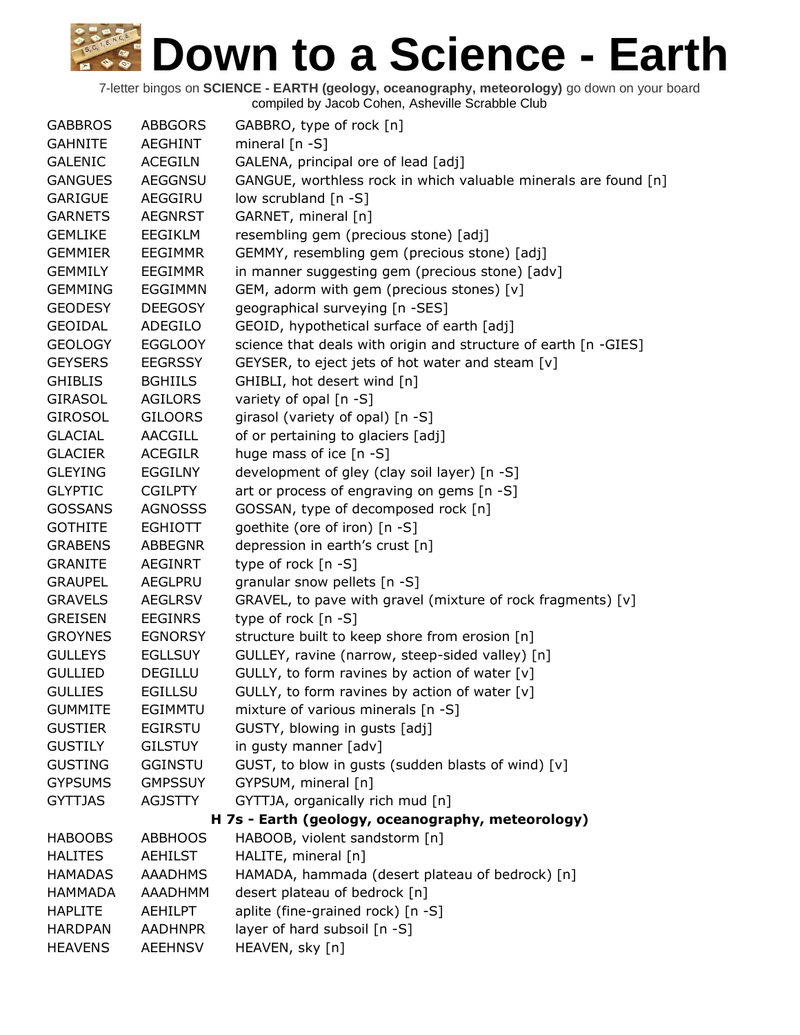| <b>GABBROS</b> | <b>ABBGORS</b> | GABBRO, type of rock [n]                                        |
|----------------|----------------|-----------------------------------------------------------------|
| <b>GAHNITE</b> | <b>AEGHINT</b> | mineral $[n - S]$                                               |
| <b>GALENIC</b> | <b>ACEGILN</b> | GALENA, principal ore of lead [adj]                             |
| <b>GANGUES</b> | <b>AEGGNSU</b> | GANGUE, worthless rock in which valuable minerals are found [n] |
| <b>GARIGUE</b> | AEGGIRU        | low scrubland [n -S]                                            |
| <b>GARNETS</b> | <b>AEGNRST</b> | GARNET, mineral [n]                                             |
| <b>GEMLIKE</b> | <b>EEGIKLM</b> | resembling gem (precious stone) [adj]                           |
| <b>GEMMIER</b> | <b>EEGIMMR</b> | GEMMY, resembling gem (precious stone) [adj]                    |
| <b>GEMMILY</b> | <b>EEGIMMR</b> | in manner suggesting gem (precious stone) [adv]                 |
| <b>GEMMING</b> | <b>EGGIMMN</b> | GEM, adorm with gem (precious stones) [v]                       |
| <b>GEODESY</b> | <b>DEEGOSY</b> | geographical surveying [n -SES]                                 |
| <b>GEOIDAL</b> | <b>ADEGILO</b> | GEOID, hypothetical surface of earth [adj]                      |
| <b>GEOLOGY</b> | <b>EGGLOOY</b> | science that deals with origin and structure of earth [n -GIES] |
| <b>GEYSERS</b> | <b>EEGRSSY</b> | GEYSER, to eject jets of hot water and steam [v]                |
| <b>GHIBLIS</b> | <b>BGHIILS</b> | GHIBLI, hot desert wind [n]                                     |
| <b>GIRASOL</b> | <b>AGILORS</b> | variety of opal [n -S]                                          |
| <b>GIROSOL</b> | <b>GILOORS</b> | girasol (variety of opal) [n -S]                                |
| <b>GLACIAL</b> | AACGILL        | of or pertaining to glaciers [adj]                              |
| <b>GLACIER</b> | <b>ACEGILR</b> | huge mass of ice [n -S]                                         |
| <b>GLEYING</b> | <b>EGGILNY</b> | development of gley (clay soil layer) [n -S]                    |
| <b>GLYPTIC</b> | <b>CGILPTY</b> | art or process of engraving on gems [n -S]                      |
| <b>GOSSANS</b> | <b>AGNOSSS</b> | GOSSAN, type of decomposed rock [n]                             |
| <b>GOTHITE</b> | <b>EGHIOTT</b> | goethite (ore of iron) [n -S]                                   |
| <b>GRABENS</b> | <b>ABBEGNR</b> | depression in earth's crust [n]                                 |
| <b>GRANITE</b> | <b>AEGINRT</b> | type of rock [n -S]                                             |
| <b>GRAUPEL</b> | AEGLPRU        | granular snow pellets [n -S]                                    |
| <b>GRAVELS</b> | <b>AEGLRSV</b> | GRAVEL, to pave with gravel (mixture of rock fragments) [v]     |
| <b>GREISEN</b> | <b>EEGINRS</b> | type of rock $[n - S]$                                          |
| <b>GROYNES</b> | <b>EGNORSY</b> | structure built to keep shore from erosion [n]                  |
| <b>GULLEYS</b> | <b>EGLLSUY</b> | GULLEY, ravine (narrow, steep-sided valley) [n]                 |
| <b>GULLIED</b> | <b>DEGILLU</b> | GULLY, to form ravines by action of water [v]                   |
| <b>GULLIES</b> | <b>EGILLSU</b> | GULLY, to form ravines by action of water [v]                   |
| <b>GUMMITE</b> | <b>EGIMMTU</b> | mixture of various minerals [n -S]                              |
| <b>GUSTIER</b> | <b>EGIRSTU</b> | GUSTY, blowing in gusts [adj]                                   |
| <b>GUSTILY</b> | <b>GILSTUY</b> | in gusty manner [adv]                                           |
| <b>GUSTING</b> | <b>GGINSTU</b> | GUST, to blow in gusts (sudden blasts of wind) [v]              |
| <b>GYPSUMS</b> | <b>GMPSSUY</b> | GYPSUM, mineral [n]                                             |
| <b>GYTTJAS</b> | <b>AGJSTTY</b> | GYTTJA, organically rich mud [n]                                |
|                |                | H 7s - Earth (geology, oceanography, meteorology)               |
| <b>HABOOBS</b> | <b>ABBHOOS</b> | HABOOB, violent sandstorm [n]                                   |
| <b>HALITES</b> | <b>AEHILST</b> | HALITE, mineral [n]                                             |
| <b>HAMADAS</b> | <b>AAADHMS</b> | HAMADA, hammada (desert plateau of bedrock) [n]                 |
| <b>HAMMADA</b> | AAADHMM        | desert plateau of bedrock [n]                                   |
| <b>HAPLITE</b> | <b>AEHILPT</b> | aplite (fine-grained rock) [n -S]                               |
| <b>HARDPAN</b> | <b>AADHNPR</b> | layer of hard subsoil [n -S]                                    |
| <b>HEAVENS</b> | <b>AEEHNSV</b> | HEAVEN, sky [n]                                                 |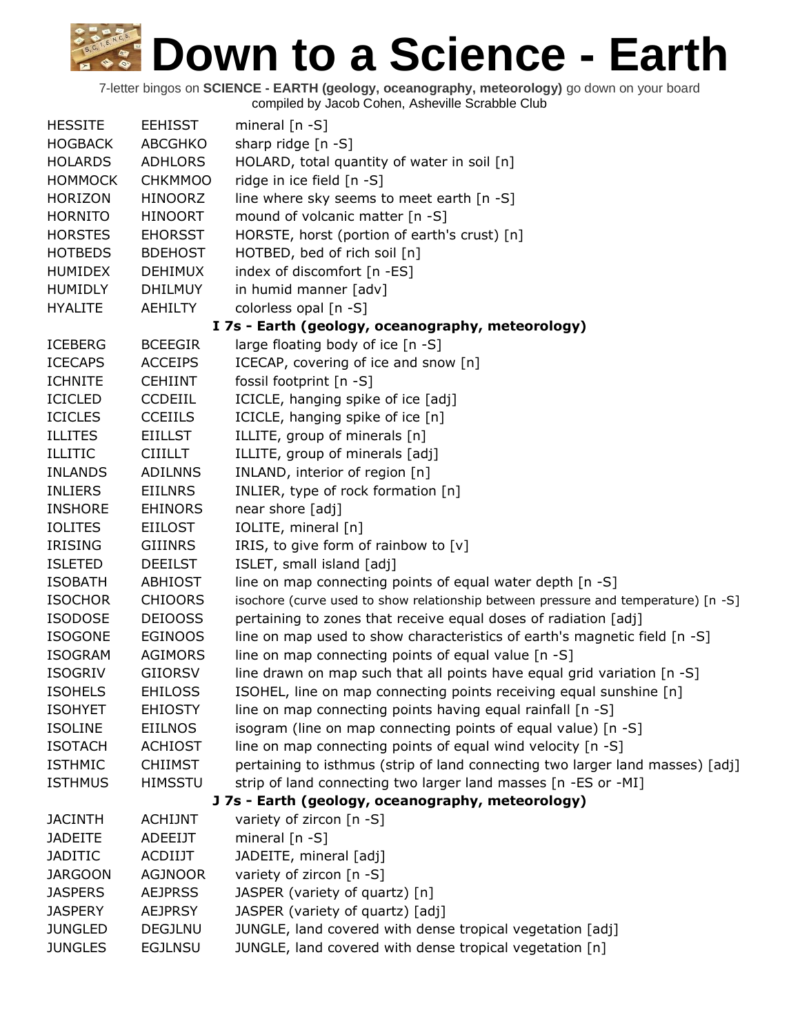| <b>HESSITE</b> | <b>EEHISST</b> | mineral $[n - S]$                                                                  |
|----------------|----------------|------------------------------------------------------------------------------------|
| <b>HOGBACK</b> | <b>ABCGHKO</b> | sharp ridge [n -S]                                                                 |
| <b>HOLARDS</b> | <b>ADHLORS</b> | HOLARD, total quantity of water in soil [n]                                        |
| <b>HOMMOCK</b> | <b>CHKMMOO</b> | ridge in ice field [n -S]                                                          |
| <b>HORIZON</b> | <b>HINOORZ</b> | line where sky seems to meet earth [n -S]                                          |
| <b>HORNITO</b> | <b>HINOORT</b> | mound of volcanic matter [n -S]                                                    |
| <b>HORSTES</b> | <b>EHORSST</b> | HORSTE, horst (portion of earth's crust) [n]                                       |
| <b>HOTBEDS</b> | <b>BDEHOST</b> | HOTBED, bed of rich soil [n]                                                       |
| <b>HUMIDEX</b> | <b>DEHIMUX</b> | index of discomfort [n -ES]                                                        |
| <b>HUMIDLY</b> | <b>DHILMUY</b> | in humid manner [adv]                                                              |
| <b>HYALITE</b> | <b>AEHILTY</b> | colorless opal [n -S]                                                              |
|                |                | I 7s - Earth (geology, oceanography, meteorology)                                  |
| <b>ICEBERG</b> | <b>BCEEGIR</b> | large floating body of ice [n -S]                                                  |
| <b>ICECAPS</b> | <b>ACCEIPS</b> | ICECAP, covering of ice and snow [n]                                               |
| <b>ICHNITE</b> | <b>CEHIINT</b> | fossil footprint [n -S]                                                            |
| <b>ICICLED</b> | <b>CCDEIIL</b> | ICICLE, hanging spike of ice [adj]                                                 |
| <b>ICICLES</b> | <b>CCEIILS</b> | ICICLE, hanging spike of ice [n]                                                   |
| <b>ILLITES</b> | <b>EIILLST</b> | ILLITE, group of minerals [n]                                                      |
| <b>ILLITIC</b> | <b>CIIILLT</b> | ILLITE, group of minerals [adj]                                                    |
| <b>INLANDS</b> | <b>ADILNNS</b> | INLAND, interior of region [n]                                                     |
| <b>INLIERS</b> | <b>EIILNRS</b> | INLIER, type of rock formation [n]                                                 |
| <b>INSHORE</b> | <b>EHINORS</b> | near shore [adj]                                                                   |
| <b>IOLITES</b> | <b>EIILOST</b> | IOLITE, mineral [n]                                                                |
| <b>IRISING</b> | <b>GIIINRS</b> | IRIS, to give form of rainbow to $[v]$                                             |
| <b>ISLETED</b> | <b>DEEILST</b> | ISLET, small island [adj]                                                          |
| <b>ISOBATH</b> | <b>ABHIOST</b> | line on map connecting points of equal water depth [n -S]                          |
| <b>ISOCHOR</b> | <b>CHIOORS</b> | isochore (curve used to show relationship between pressure and temperature) [n -S] |
| <b>ISODOSE</b> | <b>DEIOOSS</b> | pertaining to zones that receive equal doses of radiation [adj]                    |
| <b>ISOGONE</b> | <b>EGINOOS</b> | line on map used to show characteristics of earth's magnetic field [n -S]          |
| <b>ISOGRAM</b> | <b>AGIMORS</b> | line on map connecting points of equal value [n -S]                                |
| <b>ISOGRIV</b> | <b>GIIORSV</b> | line drawn on map such that all points have equal grid variation [n -S]            |
| <b>ISOHELS</b> | <b>EHILOSS</b> | ISOHEL, line on map connecting points receiving equal sunshine [n]                 |
| <b>ISOHYET</b> | <b>EHIOSTY</b> | line on map connecting points having equal rainfall [n -S]                         |
| <b>ISOLINE</b> | <b>EIILNOS</b> | isogram (line on map connecting points of equal value) [n -S]                      |
| <b>ISOTACH</b> | <b>ACHIOST</b> | line on map connecting points of equal wind velocity [n -S]                        |
| <b>ISTHMIC</b> | <b>CHIIMST</b> | pertaining to isthmus (strip of land connecting two larger land masses) [adj]      |
| <b>ISTHMUS</b> | <b>HIMSSTU</b> | strip of land connecting two larger land masses [n -ES or -MI]                     |
|                |                | J 7s - Earth (geology, oceanography, meteorology)                                  |
| <b>JACINTH</b> | <b>ACHIJNT</b> | variety of zircon [n -S]                                                           |
| <b>JADEITE</b> | ADEEIJT        | mineral [n -S]                                                                     |
| <b>JADITIC</b> | <b>ACDIIJT</b> | JADEITE, mineral [adj]                                                             |
| <b>JARGOON</b> | <b>AGJNOOR</b> | variety of zircon [n -S]                                                           |
| <b>JASPERS</b> | <b>AEJPRSS</b> | JASPER (variety of quartz) [n]                                                     |
| <b>JASPERY</b> | <b>AEJPRSY</b> | JASPER (variety of quartz) [adj]                                                   |
| <b>JUNGLED</b> | <b>DEGJLNU</b> | JUNGLE, land covered with dense tropical vegetation [adj]                          |
| <b>JUNGLES</b> | <b>EGJLNSU</b> | JUNGLE, land covered with dense tropical vegetation [n]                            |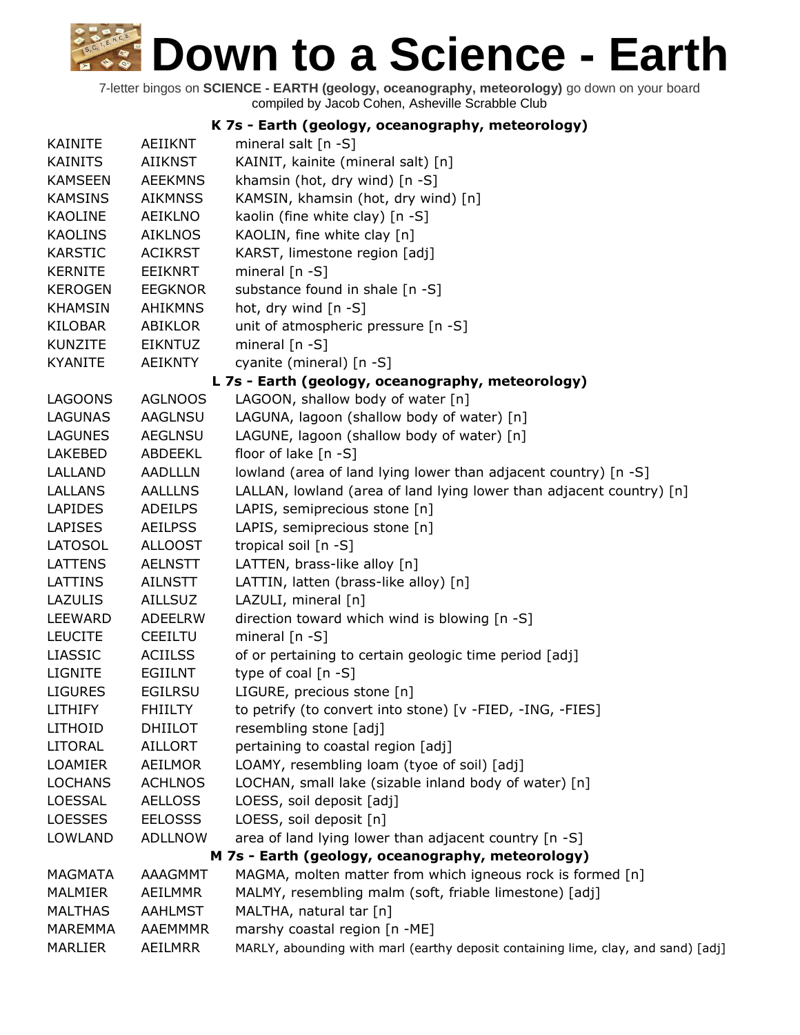| K 7s - Earth (geology, oceanography, meteorology) |                |                                                                                   |
|---------------------------------------------------|----------------|-----------------------------------------------------------------------------------|
| <b>KAINITE</b>                                    | <b>AEIIKNT</b> | mineral salt [n -S]                                                               |
| <b>KAINITS</b>                                    | <b>AIIKNST</b> | KAINIT, kainite (mineral salt) [n]                                                |
| <b>KAMSEEN</b>                                    | <b>AEEKMNS</b> | khamsin (hot, dry wind) [n -S]                                                    |
| <b>KAMSINS</b>                                    | <b>AIKMNSS</b> | KAMSIN, khamsin (hot, dry wind) [n]                                               |
| <b>KAOLINE</b>                                    | <b>AEIKLNO</b> | kaolin (fine white clay) [n -S]                                                   |
| <b>KAOLINS</b>                                    | <b>AIKLNOS</b> | KAOLIN, fine white clay [n]                                                       |
| <b>KARSTIC</b>                                    | <b>ACIKRST</b> | KARST, limestone region [adj]                                                     |
| <b>KERNITE</b>                                    | <b>EEIKNRT</b> | mineral $[n - S]$                                                                 |
| <b>KEROGEN</b>                                    | <b>EEGKNOR</b> | substance found in shale [n -S]                                                   |
| <b>KHAMSIN</b>                                    | <b>AHIKMNS</b> | hot, dry wind [n -S]                                                              |
| <b>KILOBAR</b>                                    | ABIKLOR        | unit of atmospheric pressure [n -S]                                               |
| <b>KUNZITE</b>                                    | <b>EIKNTUZ</b> | mineral $[n - S]$                                                                 |
| <b>KYANITE</b>                                    | <b>AEIKNTY</b> | cyanite (mineral) [n -S]                                                          |
|                                                   |                | L 7s - Earth (geology, oceanography, meteorology)                                 |
| <b>LAGOONS</b>                                    | <b>AGLNOOS</b> | LAGOON, shallow body of water [n]                                                 |
| <b>LAGUNAS</b>                                    | <b>AAGLNSU</b> | LAGUNA, lagoon (shallow body of water) [n]                                        |
| <b>LAGUNES</b>                                    | <b>AEGLNSU</b> | LAGUNE, lagoon (shallow body of water) [n]                                        |
| LAKEBED                                           | ABDEEKL        | floor of lake [n -S]                                                              |
| LALLAND                                           | <b>AADLLLN</b> | lowland (area of land lying lower than adjacent country) [n -S]                   |
| LALLANS                                           | <b>AALLLNS</b> | LALLAN, lowland (area of land lying lower than adjacent country) [n]              |
| <b>LAPIDES</b>                                    | <b>ADEILPS</b> | LAPIS, semiprecious stone [n]                                                     |
| <b>LAPISES</b>                                    | <b>AEILPSS</b> | LAPIS, semiprecious stone [n]                                                     |
| <b>LATOSOL</b>                                    | <b>ALLOOST</b> | tropical soil [n -S]                                                              |
| <b>LATTENS</b>                                    | <b>AELNSTT</b> | LATTEN, brass-like alloy [n]                                                      |
| LATTINS                                           | <b>AILNSTT</b> | LATTIN, latten (brass-like alloy) [n]                                             |
| LAZULIS                                           | <b>AILLSUZ</b> | LAZULI, mineral [n]                                                               |
| LEEWARD                                           | ADEELRW        | direction toward which wind is blowing [n -S]                                     |
| <b>LEUCITE</b>                                    | <b>CEEILTU</b> | mineral $[n - S]$                                                                 |
| LIASSIC                                           | <b>ACIILSS</b> | of or pertaining to certain geologic time period [adj]                            |
| <b>LIGNITE</b>                                    | <b>EGIILNT</b> | type of coal $[n - S]$                                                            |
| <b>LIGURES</b>                                    | <b>EGILRSU</b> | LIGURE, precious stone [n]                                                        |
| <b>LITHIFY</b>                                    | <b>FHIILTY</b> | to petrify (to convert into stone) [v -FIED, -ING, -FIES]                         |
| LITHOID                                           | <b>DHIILOT</b> | resembling stone [adj]                                                            |
| <b>LITORAL</b>                                    | <b>AILLORT</b> | pertaining to coastal region [adj]                                                |
| <b>LOAMIER</b>                                    | <b>AEILMOR</b> | LOAMY, resembling loam (tyoe of soil) [adj]                                       |
| <b>LOCHANS</b>                                    | <b>ACHLNOS</b> | LOCHAN, small lake (sizable inland body of water) [n]                             |
| <b>LOESSAL</b>                                    | <b>AELLOSS</b> | LOESS, soil deposit [adj]                                                         |
| <b>LOESSES</b>                                    | <b>EELOSSS</b> | LOESS, soil deposit [n]                                                           |
| <b>LOWLAND</b>                                    | <b>ADLLNOW</b> | area of land lying lower than adjacent country [n -S]                             |
|                                                   |                | M 7s - Earth (geology, oceanography, meteorology)                                 |
| <b>MAGMATA</b>                                    | <b>AAAGMMT</b> | MAGMA, molten matter from which igneous rock is formed [n]                        |
| MALMIER                                           | AEILMMR        | MALMY, resembling malm (soft, friable limestone) [adj]                            |
| <b>MALTHAS</b>                                    | <b>AAHLMST</b> | MALTHA, natural tar [n]                                                           |
| <b>MAREMMA</b>                                    | AAEMMMR        | marshy coastal region [n -ME]                                                     |
| <b>MARLIER</b>                                    | AEILMRR        | MARLY, abounding with marl (earthy deposit containing lime, clay, and sand) [adj] |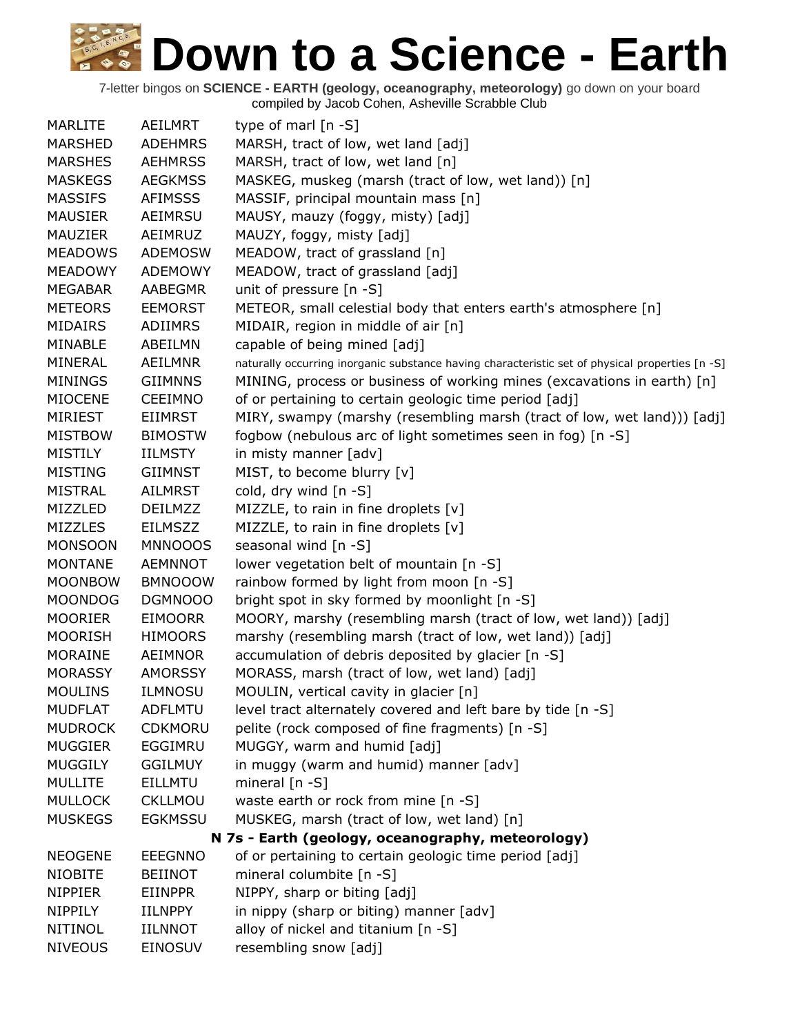| <b>MARLITE</b> | AEILMRT        | type of marl $[n - S]$                                                                          |
|----------------|----------------|-------------------------------------------------------------------------------------------------|
| <b>MARSHED</b> | <b>ADEHMRS</b> | MARSH, tract of low, wet land [adj]                                                             |
| <b>MARSHES</b> | <b>AEHMRSS</b> | MARSH, tract of low, wet land [n]                                                               |
| <b>MASKEGS</b> | <b>AEGKMSS</b> | MASKEG, muskeg (marsh (tract of low, wet land)) [n]                                             |
| <b>MASSIFS</b> | <b>AFIMSSS</b> | MASSIF, principal mountain mass [n]                                                             |
| <b>MAUSIER</b> | AEIMRSU        | MAUSY, mauzy (foggy, misty) [adj]                                                               |
| <b>MAUZIER</b> | AEIMRUZ        | MAUZY, foggy, misty [adj]                                                                       |
| <b>MEADOWS</b> | <b>ADEMOSW</b> | MEADOW, tract of grassland [n]                                                                  |
| <b>MEADOWY</b> | <b>ADEMOWY</b> | MEADOW, tract of grassland [adj]                                                                |
| <b>MEGABAR</b> | <b>AABEGMR</b> | unit of pressure [n -S]                                                                         |
| <b>METEORS</b> | <b>EEMORST</b> | METEOR, small celestial body that enters earth's atmosphere [n]                                 |
| <b>MIDAIRS</b> | ADIIMRS        | MIDAIR, region in middle of air [n]                                                             |
| MINABLE        | ABEILMN        | capable of being mined [adj]                                                                    |
| MINERAL        | <b>AEILMNR</b> | naturally occurring inorganic substance having characteristic set of physical properties [n -S] |
| <b>MININGS</b> | <b>GIIMNNS</b> | MINING, process or business of working mines (excavations in earth) [n]                         |
| <b>MIOCENE</b> | <b>CEEIMNO</b> | of or pertaining to certain geologic time period [adj]                                          |
| <b>MIRIEST</b> | <b>EIIMRST</b> | MIRY, swampy (marshy (resembling marsh (tract of low, wet land))) [adj]                         |
| <b>MISTBOW</b> | <b>BIMOSTW</b> | fogbow (nebulous arc of light sometimes seen in fog) [n -S]                                     |
| <b>MISTILY</b> | <b>IILMSTY</b> | in misty manner [adv]                                                                           |
| <b>MISTING</b> | <b>GIIMNST</b> | MIST, to become blurry [v]                                                                      |
| <b>MISTRAL</b> | <b>AILMRST</b> | cold, dry wind [n -S]                                                                           |
| MIZZLED        | <b>DEILMZZ</b> | MIZZLE, to rain in fine droplets [v]                                                            |
| <b>MIZZLES</b> | <b>EILMSZZ</b> | MIZZLE, to rain in fine droplets [v]                                                            |
| <b>MONSOON</b> | <b>MNNOOOS</b> | seasonal wind [n -S]                                                                            |
| <b>MONTANE</b> | <b>AEMNNOT</b> | lower vegetation belt of mountain [n -S]                                                        |
| <b>MOONBOW</b> | <b>BMNOOOW</b> | rainbow formed by light from moon [n -S]                                                        |
| <b>MOONDOG</b> | DGMNOOO        | bright spot in sky formed by moonlight [n -S]                                                   |
| <b>MOORIER</b> | <b>EIMOORR</b> | MOORY, marshy (resembling marsh (tract of low, wet land)) [adj]                                 |
| <b>MOORISH</b> | <b>HIMOORS</b> | marshy (resembling marsh (tract of low, wet land)) [adj]                                        |
| <b>MORAINE</b> | AEIMNOR        | accumulation of debris deposited by glacier [n -S]                                              |
| <b>MORASSY</b> | <b>AMORSSY</b> | MORASS, marsh (tract of low, wet land) [adj]                                                    |
| <b>MOULINS</b> | <b>ILMNOSU</b> | MOULIN, vertical cavity in glacier [n]                                                          |
| <b>MUDFLAT</b> | <b>ADFLMTU</b> | level tract alternately covered and left bare by tide [n -S]                                    |
| <b>MUDROCK</b> | <b>CDKMORU</b> | pelite (rock composed of fine fragments) [n -S]                                                 |
| <b>MUGGIER</b> | EGGIMRU        | MUGGY, warm and humid [adj]                                                                     |
| <b>MUGGILY</b> | <b>GGILMUY</b> | in muggy (warm and humid) manner [adv]                                                          |
| <b>MULLITE</b> | <b>EILLMTU</b> | mineral $[n - S]$                                                                               |
| <b>MULLOCK</b> | CKLLMOU        | waste earth or rock from mine [n -S]                                                            |
| <b>MUSKEGS</b> | <b>EGKMSSU</b> | MUSKEG, marsh (tract of low, wet land) [n]                                                      |
|                |                | N 7s - Earth (geology, oceanography, meteorology)                                               |
| <b>NEOGENE</b> | <b>EEEGNNO</b> | of or pertaining to certain geologic time period [adj]                                          |
| <b>NIOBITE</b> | <b>BEIINOT</b> | mineral columbite [n -S]                                                                        |
| <b>NIPPIER</b> | <b>EIINPPR</b> | NIPPY, sharp or biting [adj]                                                                    |
| NIPPILY        | <b>IILNPPY</b> | in nippy (sharp or biting) manner [adv]                                                         |
| <b>NITINOL</b> | <b>IILNNOT</b> | alloy of nickel and titanium [n -S]                                                             |
| <b>NIVEOUS</b> | EINOSUV        | resembling snow [adj]                                                                           |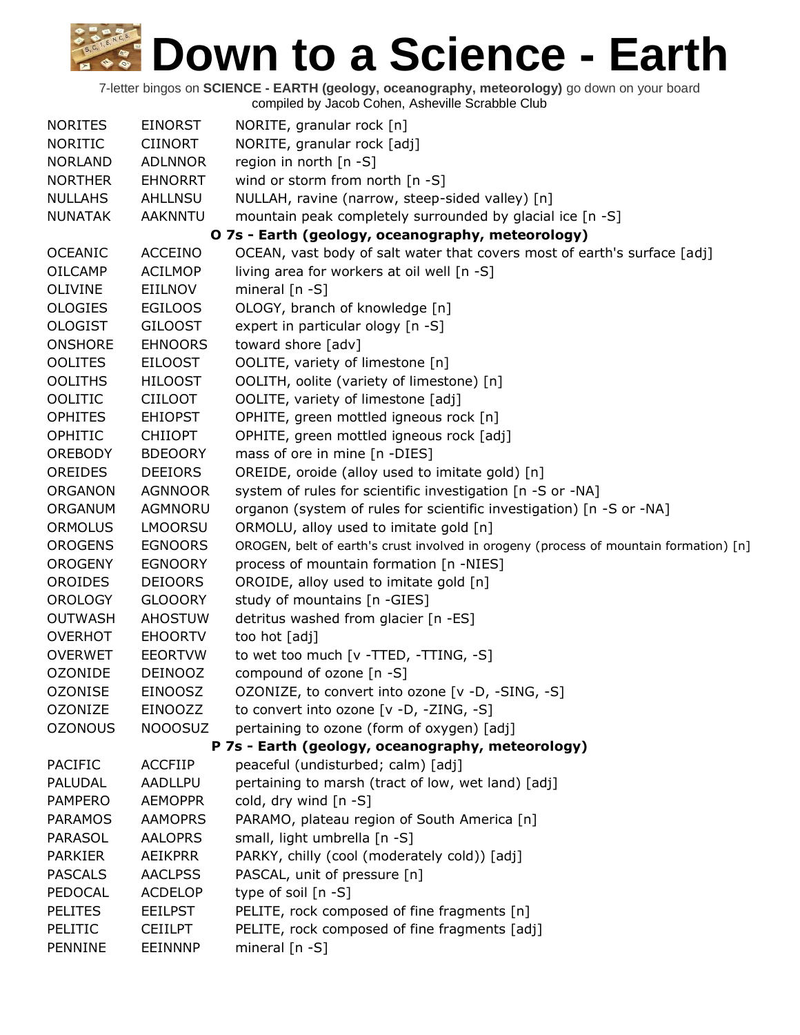| <b>NORITES</b> | <b>EINORST</b> | NORITE, granular rock [n]                                                             |
|----------------|----------------|---------------------------------------------------------------------------------------|
| <b>NORITIC</b> | <b>CIINORT</b> | NORITE, granular rock [adj]                                                           |
| <b>NORLAND</b> | <b>ADLNNOR</b> | region in north [n -S]                                                                |
| <b>NORTHER</b> | <b>EHNORRT</b> | wind or storm from north [n -S]                                                       |
| <b>NULLAHS</b> | <b>AHLLNSU</b> | NULLAH, ravine (narrow, steep-sided valley) [n]                                       |
| <b>NUNATAK</b> | <b>AAKNNTU</b> | mountain peak completely surrounded by glacial ice [n -S]                             |
|                |                | O 7s - Earth (geology, oceanography, meteorology)                                     |
| <b>OCEANIC</b> | <b>ACCEINO</b> | OCEAN, vast body of salt water that covers most of earth's surface [adj]              |
| <b>OILCAMP</b> | <b>ACILMOP</b> | living area for workers at oil well [n -S]                                            |
| <b>OLIVINE</b> | EIILNOV        | mineral $[n - S]$                                                                     |
| <b>OLOGIES</b> | <b>EGILOOS</b> | OLOGY, branch of knowledge [n]                                                        |
| <b>OLOGIST</b> | <b>GILOOST</b> | expert in particular ology [n -S]                                                     |
| <b>ONSHORE</b> | <b>EHNOORS</b> | toward shore [adv]                                                                    |
| <b>OOLITES</b> | <b>EILOOST</b> | OOLITE, variety of limestone [n]                                                      |
| <b>OOLITHS</b> | <b>HILOOST</b> | OOLITH, oolite (variety of limestone) [n]                                             |
| <b>OOLITIC</b> | <b>CIILOOT</b> | OOLITE, variety of limestone [adj]                                                    |
| <b>OPHITES</b> | <b>EHIOPST</b> | OPHITE, green mottled igneous rock [n]                                                |
| OPHITIC        | <b>CHIIOPT</b> | OPHITE, green mottled igneous rock [adj]                                              |
| <b>OREBODY</b> | <b>BDEOORY</b> | mass of ore in mine [n -DIES]                                                         |
| <b>OREIDES</b> | <b>DEEIORS</b> | OREIDE, oroide (alloy used to imitate gold) [n]                                       |
| <b>ORGANON</b> | <b>AGNNOOR</b> | system of rules for scientific investigation [n -S or -NA]                            |
| ORGANUM        | AGMNORU        | organon (system of rules for scientific investigation) [n -S or -NA]                  |
| <b>ORMOLUS</b> | <b>LMOORSU</b> | ORMOLU, alloy used to imitate gold [n]                                                |
| <b>OROGENS</b> | <b>EGNOORS</b> | OROGEN, belt of earth's crust involved in orogeny (process of mountain formation) [n] |
| <b>OROGENY</b> | <b>EGNOORY</b> | process of mountain formation [n -NIES]                                               |
| <b>OROIDES</b> | <b>DEIOORS</b> | OROIDE, alloy used to imitate gold [n]                                                |
| <b>OROLOGY</b> | <b>GLOOORY</b> | study of mountains [n -GIES]                                                          |
| <b>OUTWASH</b> | <b>AHOSTUW</b> | detritus washed from glacier [n -ES]                                                  |
| <b>OVERHOT</b> | <b>EHOORTV</b> | too hot [adj]                                                                         |
| <b>OVERWET</b> | <b>EEORTVW</b> | to wet too much [v -TTED, -TTING, -S]                                                 |
| <b>OZONIDE</b> | <b>DEINOOZ</b> | compound of ozone [n -S]                                                              |
| <b>OZONISE</b> | <b>EINOOSZ</b> | OZONIZE, to convert into ozone [v -D, -SING, -S]                                      |
| <b>OZONIZE</b> | EINOOZZ        | to convert into ozone [v -D, -ZING, -S]                                               |
| <b>OZONOUS</b> | <b>NOOOSUZ</b> | pertaining to ozone (form of oxygen) [adj]                                            |
|                |                | P 7s - Earth (geology, oceanography, meteorology)                                     |
| PACIFIC        | <b>ACCFIIP</b> | peaceful (undisturbed; calm) [adj]                                                    |
| PALUDAL        | AADLLPU        | pertaining to marsh (tract of low, wet land) [adj]                                    |
| <b>PAMPERO</b> | <b>AEMOPPR</b> | cold, dry wind [n -S]                                                                 |
| <b>PARAMOS</b> | <b>AAMOPRS</b> | PARAMO, plateau region of South America [n]                                           |
| <b>PARASOL</b> | <b>AALOPRS</b> | small, light umbrella [n -S]                                                          |
| <b>PARKIER</b> | <b>AEIKPRR</b> | PARKY, chilly (cool (moderately cold)) [adj]                                          |
| <b>PASCALS</b> | <b>AACLPSS</b> | PASCAL, unit of pressure [n]                                                          |
| PEDOCAL        | <b>ACDELOP</b> | type of soil [n -S]                                                                   |
| <b>PELITES</b> | <b>EEILPST</b> | PELITE, rock composed of fine fragments [n]                                           |
| PELITIC        | <b>CEIILPT</b> | PELITE, rock composed of fine fragments [adj]                                         |
| PENNINE        | <b>EEINNNP</b> | mineral [n -S]                                                                        |
|                |                |                                                                                       |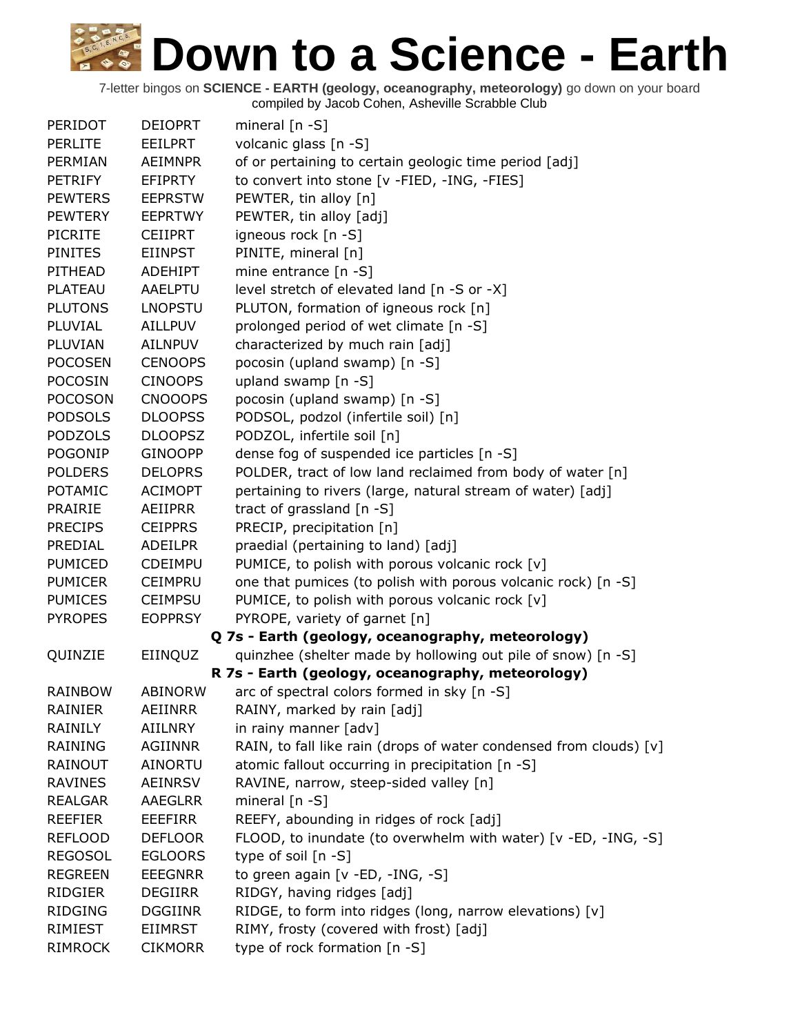| PERIDOT        | <b>DEIOPRT</b> | mineral $[n - S]$                                                  |
|----------------|----------------|--------------------------------------------------------------------|
| <b>PERLITE</b> | <b>EEILPRT</b> | volcanic glass [n -S]                                              |
| PERMIAN        | <b>AEIMNPR</b> | of or pertaining to certain geologic time period [adj]             |
| <b>PETRIFY</b> | <b>EFIPRTY</b> | to convert into stone [v -FIED, -ING, -FIES]                       |
| <b>PEWTERS</b> | <b>EEPRSTW</b> | PEWTER, tin alloy [n]                                              |
| <b>PEWTERY</b> | <b>EEPRTWY</b> | PEWTER, tin alloy [adj]                                            |
| <b>PICRITE</b> | <b>CEIIPRT</b> | igneous rock [n -S]                                                |
| <b>PINITES</b> | <b>EIINPST</b> | PINITE, mineral [n]                                                |
| PITHEAD        | <b>ADEHIPT</b> | mine entrance $[n -S]$                                             |
| PLATEAU        | AAELPTU        | level stretch of elevated land [n -S or -X]                        |
| <b>PLUTONS</b> | <b>LNOPSTU</b> | PLUTON, formation of igneous rock [n]                              |
| PLUVIAL        | <b>AILLPUV</b> | prolonged period of wet climate [n -S]                             |
| PLUVIAN        | <b>AILNPUV</b> | characterized by much rain [adj]                                   |
| <b>POCOSEN</b> | <b>CENOOPS</b> | pocosin (upland swamp) [n -S]                                      |
| <b>POCOSIN</b> | <b>CINOOPS</b> | upland swamp [n -S]                                                |
| <b>POCOSON</b> | <b>CNOOOPS</b> | pocosin (upland swamp) [n -S]                                      |
| <b>PODSOLS</b> | <b>DLOOPSS</b> | PODSOL, podzol (infertile soil) [n]                                |
| <b>PODZOLS</b> | <b>DLOOPSZ</b> | PODZOL, infertile soil [n]                                         |
| POGONIP        | <b>GINOOPP</b> | dense fog of suspended ice particles [n -S]                        |
| <b>POLDERS</b> | <b>DELOPRS</b> | POLDER, tract of low land reclaimed from body of water [n]         |
| <b>POTAMIC</b> | <b>ACIMOPT</b> | pertaining to rivers (large, natural stream of water) [adj]        |
| <b>PRAIRIE</b> | AEIIPRR        | tract of grassland [n -S]                                          |
| <b>PRECIPS</b> | <b>CEIPPRS</b> | PRECIP, precipitation [n]                                          |
| PREDIAL        | ADEILPR        | praedial (pertaining to land) [adj]                                |
| <b>PUMICED</b> | <b>CDEIMPU</b> | PUMICE, to polish with porous volcanic rock [v]                    |
| <b>PUMICER</b> | <b>CEIMPRU</b> | one that pumices (to polish with porous volcanic rock) [n -S]      |
| <b>PUMICES</b> | <b>CEIMPSU</b> | PUMICE, to polish with porous volcanic rock [v]                    |
| <b>PYROPES</b> | <b>EOPPRSY</b> | PYROPE, variety of garnet [n]                                      |
|                |                | Q 7s - Earth (geology, oceanography, meteorology)                  |
| QUINZIE        | EIINQUZ        | quinzhee (shelter made by hollowing out pile of snow) [n -S]       |
|                |                | R 7s - Earth (geology, oceanography, meteorology)                  |
| <b>RAINBOW</b> | <b>ABINORW</b> | arc of spectral colors formed in sky [n -S]                        |
| <b>RAINIER</b> | <b>AEIINRR</b> | RAINY, marked by rain [adj]                                        |
| RAINILY        | <b>AIILNRY</b> | in rainy manner [adv]                                              |
| <b>RAINING</b> | <b>AGIINNR</b> | RAIN, to fall like rain (drops of water condensed from clouds) [v] |
| RAINOUT        | AINORTU        | atomic fallout occurring in precipitation [n -S]                   |
| <b>RAVINES</b> | <b>AEINRSV</b> | RAVINE, narrow, steep-sided valley [n]                             |
| <b>REALGAR</b> | <b>AAEGLRR</b> | mineral $[n - S]$                                                  |
| <b>REEFIER</b> | <b>EEEFIRR</b> | REEFY, abounding in ridges of rock [adj]                           |
| <b>REFLOOD</b> | <b>DEFLOOR</b> | FLOOD, to inundate (to overwhelm with water) [v -ED, -ING, -S]     |
| <b>REGOSOL</b> | <b>EGLOORS</b> | type of soil $[n - S]$                                             |
| <b>REGREEN</b> | <b>EEEGNRR</b> | to green again [v -ED, -ING, -S]                                   |
| <b>RIDGIER</b> | <b>DEGIIRR</b> | RIDGY, having ridges [adj]                                         |
| <b>RIDGING</b> | <b>DGGIINR</b> | RIDGE, to form into ridges (long, narrow elevations) [v]           |
| <b>RIMIEST</b> | <b>EIIMRST</b> | RIMY, frosty (covered with frost) [adj]                            |
| <b>RIMROCK</b> | <b>CIKMORR</b> | type of rock formation [n -S]                                      |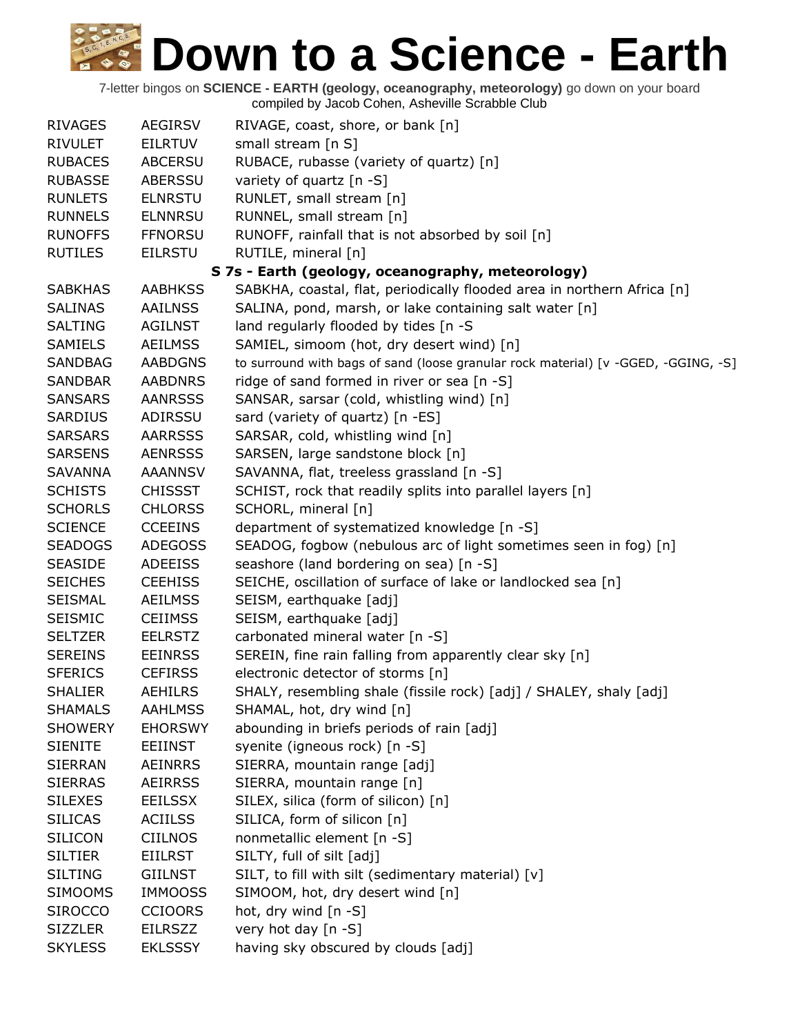| <b>RIVAGES</b> | AEGIRSV        | RIVAGE, coast, shore, or bank [n]                                                  |
|----------------|----------------|------------------------------------------------------------------------------------|
| <b>RIVULET</b> | <b>EILRTUV</b> | small stream [n S]                                                                 |
| <b>RUBACES</b> | <b>ABCERSU</b> | RUBACE, rubasse (variety of quartz) [n]                                            |
| <b>RUBASSE</b> | ABERSSU        | variety of quartz [n -S]                                                           |
| <b>RUNLETS</b> | <b>ELNRSTU</b> | RUNLET, small stream [n]                                                           |
| <b>RUNNELS</b> | <b>ELNNRSU</b> | RUNNEL, small stream [n]                                                           |
| <b>RUNOFFS</b> | <b>FFNORSU</b> | RUNOFF, rainfall that is not absorbed by soil [n]                                  |
| <b>RUTILES</b> | <b>EILRSTU</b> | RUTILE, mineral [n]                                                                |
|                |                | S 7s - Earth (geology, oceanography, meteorology)                                  |
| <b>SABKHAS</b> | <b>AABHKSS</b> | SABKHA, coastal, flat, periodically flooded area in northern Africa [n]            |
| <b>SALINAS</b> | <b>AAILNSS</b> | SALINA, pond, marsh, or lake containing salt water [n]                             |
| <b>SALTING</b> | <b>AGILNST</b> | land regularly flooded by tides [n -S                                              |
| SAMIELS        | <b>AEILMSS</b> | SAMIEL, simoom (hot, dry desert wind) [n]                                          |
| <b>SANDBAG</b> | <b>AABDGNS</b> | to surround with bags of sand (loose granular rock material) [v -GGED, -GGING, -S] |
| <b>SANDBAR</b> | <b>AABDNRS</b> | ridge of sand formed in river or sea [n -S]                                        |
| <b>SANSARS</b> | <b>AANRSSS</b> | SANSAR, sarsar (cold, whistling wind) [n]                                          |
| <b>SARDIUS</b> | ADIRSSU        | sard (variety of quartz) [n -ES]                                                   |
| <b>SARSARS</b> | <b>AARRSSS</b> | SARSAR, cold, whistling wind [n]                                                   |
| <b>SARSENS</b> | <b>AENRSSS</b> | SARSEN, large sandstone block [n]                                                  |
| <b>SAVANNA</b> | <b>AAANNSV</b> | SAVANNA, flat, treeless grassland [n -S]                                           |
| <b>SCHISTS</b> | <b>CHISSST</b> | SCHIST, rock that readily splits into parallel layers [n]                          |
| <b>SCHORLS</b> | <b>CHLORSS</b> | SCHORL, mineral [n]                                                                |
| <b>SCIENCE</b> | <b>CCEEINS</b> | department of systematized knowledge [n -S]                                        |
| <b>SEADOGS</b> | <b>ADEGOSS</b> | SEADOG, fogbow (nebulous arc of light sometimes seen in fog) [n]                   |
| <b>SEASIDE</b> | <b>ADEEISS</b> | seashore (land bordering on sea) [n -S]                                            |
| <b>SEICHES</b> | <b>CEEHISS</b> | SEICHE, oscillation of surface of lake or landlocked sea [n]                       |
| SEISMAL        | <b>AEILMSS</b> | SEISM, earthquake [adj]                                                            |
| <b>SEISMIC</b> | <b>CEIIMSS</b> | SEISM, earthquake [adj]                                                            |
| <b>SELTZER</b> | <b>EELRSTZ</b> | carbonated mineral water [n -S]                                                    |
| <b>SEREINS</b> | <b>EEINRSS</b> | SEREIN, fine rain falling from apparently clear sky [n]                            |
| <b>SFERICS</b> | <b>CEFIRSS</b> | electronic detector of storms [n]                                                  |
| <b>SHALIER</b> | <b>AEHILRS</b> | SHALY, resembling shale (fissile rock) [adj] / SHALEY, shaly [adj]                 |
| <b>SHAMALS</b> | <b>AAHLMSS</b> | SHAMAL, hot, dry wind [n]                                                          |
| <b>SHOWERY</b> | <b>EHORSWY</b> | abounding in briefs periods of rain [adj]                                          |
| <b>SIENITE</b> | <b>EEIINST</b> | syenite (igneous rock) [n -S]                                                      |
| <b>SIERRAN</b> | <b>AEINRRS</b> | SIERRA, mountain range [adj]                                                       |
| <b>SIERRAS</b> | <b>AEIRRSS</b> | SIERRA, mountain range [n]                                                         |
| <b>SILEXES</b> | <b>EEILSSX</b> | SILEX, silica (form of silicon) [n]                                                |
| <b>SILICAS</b> | <b>ACIILSS</b> | SILICA, form of silicon [n]                                                        |
| <b>SILICON</b> | <b>CIILNOS</b> | nonmetallic element [n -S]                                                         |
| <b>SILTIER</b> | <b>EIILRST</b> | SILTY, full of silt [adj]                                                          |
| <b>SILTING</b> | <b>GIILNST</b> | SILT, to fill with silt (sedimentary material) [v]                                 |
| <b>SIMOOMS</b> | <b>IMMOOSS</b> | SIMOOM, hot, dry desert wind [n]                                                   |
| <b>SIROCCO</b> | <b>CCIOORS</b> | hot, dry wind [n -S]                                                               |
| <b>SIZZLER</b> | <b>EILRSZZ</b> | very hot day [n -S]                                                                |
| <b>SKYLESS</b> | <b>EKLSSSY</b> | having sky obscured by clouds [adj]                                                |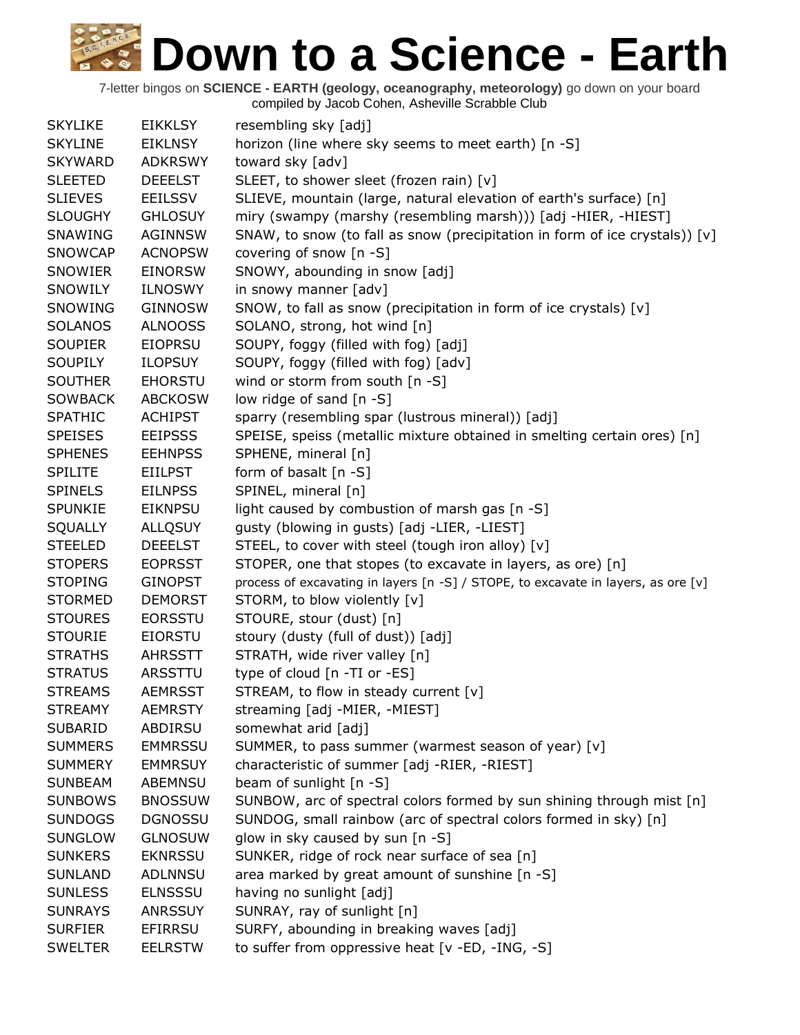| <b>SKYLIKE</b> | <b>EIKKLSY</b> | resembling sky [adj]                                                              |
|----------------|----------------|-----------------------------------------------------------------------------------|
| <b>SKYLINE</b> | <b>EIKLNSY</b> | horizon (line where sky seems to meet earth) [n -S]                               |
| <b>SKYWARD</b> | <b>ADKRSWY</b> | toward sky [adv]                                                                  |
| <b>SLEETED</b> | <b>DEEELST</b> | SLEET, to shower sleet (frozen rain) [v]                                          |
| <b>SLIEVES</b> | <b>EEILSSV</b> | SLIEVE, mountain (large, natural elevation of earth's surface) [n]                |
| <b>SLOUGHY</b> | <b>GHLOSUY</b> | miry (swampy (marshy (resembling marsh))) [adj -HIER, -HIEST]                     |
| SNAWING        | <b>AGINNSW</b> | SNAW, to snow (to fall as snow (precipitation in form of ice crystals)) [v]       |
| <b>SNOWCAP</b> | <b>ACNOPSW</b> | covering of snow [n -S]                                                           |
| SNOWIER        | <b>EINORSW</b> | SNOWY, abounding in snow [adj]                                                    |
| SNOWILY        | <b>ILNOSWY</b> | in snowy manner [adv]                                                             |
| SNOWING        | <b>GINNOSW</b> | SNOW, to fall as snow (precipitation in form of ice crystals) [v]                 |
| <b>SOLANOS</b> | <b>ALNOOSS</b> | SOLANO, strong, hot wind [n]                                                      |
| <b>SOUPIER</b> | <b>EIOPRSU</b> | SOUPY, foggy (filled with fog) [adj]                                              |
| <b>SOUPILY</b> | <b>ILOPSUY</b> | SOUPY, foggy (filled with fog) [adv]                                              |
| <b>SOUTHER</b> | <b>EHORSTU</b> | wind or storm from south [n -S]                                                   |
| <b>SOWBACK</b> | <b>ABCKOSW</b> | low ridge of sand [n -S]                                                          |
| <b>SPATHIC</b> | <b>ACHIPST</b> | sparry (resembling spar (lustrous mineral)) [adj]                                 |
| <b>SPEISES</b> | <b>EEIPSSS</b> | SPEISE, speiss (metallic mixture obtained in smelting certain ores) [n]           |
| <b>SPHENES</b> | <b>EEHNPSS</b> | SPHENE, mineral [n]                                                               |
| <b>SPILITE</b> | <b>EIILPST</b> | form of basalt $[n -S]$                                                           |
| <b>SPINELS</b> | <b>EILNPSS</b> | SPINEL, mineral [n]                                                               |
| <b>SPUNKIE</b> | <b>EIKNPSU</b> | light caused by combustion of marsh gas [n -S]                                    |
| SQUALLY        | <b>ALLQSUY</b> | gusty (blowing in gusts) [adj -LIER, -LIEST]                                      |
| <b>STEELED</b> | <b>DEEELST</b> | STEEL, to cover with steel (tough iron alloy) [v]                                 |
| <b>STOPERS</b> | <b>EOPRSST</b> | STOPER, one that stopes (to excavate in layers, as ore) [n]                       |
| <b>STOPING</b> | <b>GINOPST</b> | process of excavating in layers [n -S] / STOPE, to excavate in layers, as ore [v] |
| <b>STORMED</b> | <b>DEMORST</b> | STORM, to blow violently [v]                                                      |
| <b>STOURES</b> | <b>EORSSTU</b> | STOURE, stour (dust) [n]                                                          |
| <b>STOURIE</b> | <b>EIORSTU</b> | stoury (dusty (full of dust)) [adj]                                               |
| <b>STRATHS</b> | <b>AHRSSTT</b> | STRATH, wide river valley [n]                                                     |
| <b>STRATUS</b> | ARSSTTU        | type of cloud [n -TI or -ES]                                                      |
| <b>STREAMS</b> | <b>AEMRSST</b> | STREAM, to flow in steady current [v]                                             |
| <b>STREAMY</b> | <b>AEMRSTY</b> | streaming [adj -MIER, -MIEST]                                                     |
| <b>SUBARID</b> | <b>ABDIRSU</b> | somewhat arid [adj]                                                               |
| <b>SUMMERS</b> | <b>EMMRSSU</b> | SUMMER, to pass summer (warmest season of year) [v]                               |
| <b>SUMMERY</b> | <b>EMMRSUY</b> | characteristic of summer [adj -RIER, -RIEST]                                      |
| <b>SUNBEAM</b> | ABEMNSU        | beam of sunlight [n -S]                                                           |
| <b>SUNBOWS</b> | <b>BNOSSUW</b> | SUNBOW, arc of spectral colors formed by sun shining through mist [n]             |
| <b>SUNDOGS</b> | <b>DGNOSSU</b> | SUNDOG, small rainbow (arc of spectral colors formed in sky) [n]                  |
| <b>SUNGLOW</b> | <b>GLNOSUW</b> | glow in sky caused by sun [n -S]                                                  |
| <b>SUNKERS</b> | <b>EKNRSSU</b> | SUNKER, ridge of rock near surface of sea [n]                                     |
| <b>SUNLAND</b> | <b>ADLNNSU</b> | area marked by great amount of sunshine [n -S]                                    |
| <b>SUNLESS</b> | <b>ELNSSSU</b> | having no sunlight [adj]                                                          |
| <b>SUNRAYS</b> | <b>ANRSSUY</b> | SUNRAY, ray of sunlight [n]                                                       |
| <b>SURFIER</b> | <b>EFIRRSU</b> | SURFY, abounding in breaking waves [adj]                                          |
| <b>SWELTER</b> | <b>EELRSTW</b> | to suffer from oppressive heat [v -ED, -ING, -S]                                  |
|                |                |                                                                                   |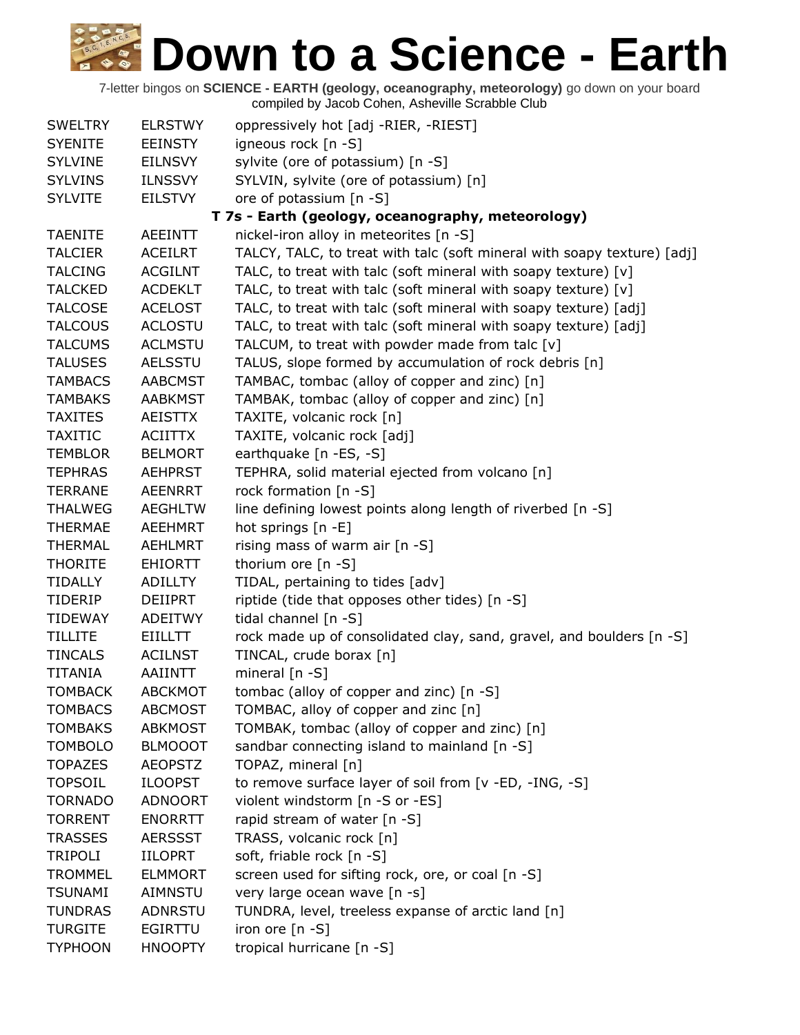| <b>SWELTRY</b>                                    | <b>ELRSTWY</b> | oppressively hot [adj -RIER, -RIEST]                                    |  |  |  |  |
|---------------------------------------------------|----------------|-------------------------------------------------------------------------|--|--|--|--|
| <b>SYENITE</b>                                    | <b>EEINSTY</b> | igneous rock [n -S]                                                     |  |  |  |  |
| <b>SYLVINE</b>                                    | <b>EILNSVY</b> | sylvite (ore of potassium) [n -S]                                       |  |  |  |  |
| <b>SYLVINS</b>                                    | <b>ILNSSVY</b> | SYLVIN, sylvite (ore of potassium) [n]                                  |  |  |  |  |
| <b>SYLVITE</b>                                    | <b>EILSTVY</b> | ore of potassium [n -S]                                                 |  |  |  |  |
| T 7s - Earth (geology, oceanography, meteorology) |                |                                                                         |  |  |  |  |
| <b>TAENITE</b>                                    | <b>AEEINTT</b> | nickel-iron alloy in meteorites [n -S]                                  |  |  |  |  |
| <b>TALCIER</b>                                    | <b>ACEILRT</b> | TALCY, TALC, to treat with talc (soft mineral with soapy texture) [adj] |  |  |  |  |
| <b>TALCING</b>                                    | <b>ACGILNT</b> | TALC, to treat with talc (soft mineral with soapy texture) [v]          |  |  |  |  |
| <b>TALCKED</b>                                    | <b>ACDEKLT</b> | TALC, to treat with talc (soft mineral with soapy texture) [v]          |  |  |  |  |
| <b>TALCOSE</b>                                    | <b>ACELOST</b> | TALC, to treat with talc (soft mineral with soapy texture) [adj]        |  |  |  |  |
| <b>TALCOUS</b>                                    | <b>ACLOSTU</b> | TALC, to treat with talc (soft mineral with soapy texture) [adj]        |  |  |  |  |
| <b>TALCUMS</b>                                    | <b>ACLMSTU</b> | TALCUM, to treat with powder made from talc [v]                         |  |  |  |  |
| <b>TALUSES</b>                                    | <b>AELSSTU</b> | TALUS, slope formed by accumulation of rock debris [n]                  |  |  |  |  |
| <b>TAMBACS</b>                                    | <b>AABCMST</b> | TAMBAC, tombac (alloy of copper and zinc) [n]                           |  |  |  |  |
| <b>TAMBAKS</b>                                    | <b>AABKMST</b> | TAMBAK, tombac (alloy of copper and zinc) [n]                           |  |  |  |  |
| <b>TAXITES</b>                                    | <b>AEISTTX</b> | TAXITE, volcanic rock [n]                                               |  |  |  |  |
| <b>TAXITIC</b>                                    | <b>ACIITTX</b> | TAXITE, volcanic rock [adj]                                             |  |  |  |  |
| <b>TEMBLOR</b>                                    | <b>BELMORT</b> | earthquake [n -ES, -S]                                                  |  |  |  |  |
| <b>TEPHRAS</b>                                    | <b>AEHPRST</b> | TEPHRA, solid material ejected from volcano [n]                         |  |  |  |  |
| <b>TERRANE</b>                                    | <b>AEENRRT</b> | rock formation [n -S]                                                   |  |  |  |  |
| <b>THALWEG</b>                                    | <b>AEGHLTW</b> | line defining lowest points along length of riverbed [n -S]             |  |  |  |  |
| <b>THERMAE</b>                                    | AEEHMRT        | hot springs [n -E]                                                      |  |  |  |  |
| <b>THERMAL</b>                                    | <b>AEHLMRT</b> | rising mass of warm air [n -S]                                          |  |  |  |  |
| <b>THORITE</b>                                    | <b>EHIORTT</b> | thorium ore [n -S]                                                      |  |  |  |  |
| <b>TIDALLY</b>                                    | <b>ADILLTY</b> | TIDAL, pertaining to tides [adv]                                        |  |  |  |  |
| <b>TIDERIP</b>                                    | <b>DEIIPRT</b> | riptide (tide that opposes other tides) [n -S]                          |  |  |  |  |
| <b>TIDEWAY</b>                                    | <b>ADEITWY</b> | tidal channel [n -S]                                                    |  |  |  |  |
| <b>TILLITE</b>                                    | <b>EIILLTT</b> | rock made up of consolidated clay, sand, gravel, and boulders [n -S]    |  |  |  |  |
| <b>TINCALS</b>                                    | <b>ACILNST</b> | TINCAL, crude borax [n]                                                 |  |  |  |  |
| <b>TITANIA</b>                                    | <b>AAIINTT</b> | mineral $[n - S]$                                                       |  |  |  |  |
| <b>TOMBACK</b>                                    | <b>ABCKMOT</b> | tombac (alloy of copper and zinc) [n -S]                                |  |  |  |  |
| <b>TOMBACS</b>                                    | <b>ABCMOST</b> | TOMBAC, alloy of copper and zinc [n]                                    |  |  |  |  |
| <b>TOMBAKS</b>                                    | <b>ABKMOST</b> | TOMBAK, tombac (alloy of copper and zinc) [n]                           |  |  |  |  |
| <b>TOMBOLO</b>                                    | <b>BLMOOOT</b> | sandbar connecting island to mainland [n -S]                            |  |  |  |  |
| <b>TOPAZES</b>                                    | <b>AEOPSTZ</b> | TOPAZ, mineral [n]                                                      |  |  |  |  |
| <b>TOPSOIL</b>                                    | <b>ILOOPST</b> | to remove surface layer of soil from [v -ED, -ING, -S]                  |  |  |  |  |
| <b>TORNADO</b>                                    | <b>ADNOORT</b> | violent windstorm [n -S or -ES]                                         |  |  |  |  |
| <b>TORRENT</b>                                    | <b>ENORRTT</b> | rapid stream of water [n -S]                                            |  |  |  |  |
| <b>TRASSES</b>                                    | <b>AERSSST</b> | TRASS, volcanic rock [n]                                                |  |  |  |  |
| <b>TRIPOLI</b>                                    | <b>IILOPRT</b> | soft, friable rock [n -S]                                               |  |  |  |  |
| <b>TROMMEL</b>                                    | <b>ELMMORT</b> | screen used for sifting rock, ore, or coal [n -S]                       |  |  |  |  |
| <b>TSUNAMI</b>                                    | AIMNSTU        | very large ocean wave [n -s]                                            |  |  |  |  |
| <b>TUNDRAS</b>                                    | ADNRSTU        | TUNDRA, level, treeless expanse of arctic land [n]                      |  |  |  |  |
| <b>TURGITE</b>                                    | <b>EGIRTTU</b> | iron ore [n -S]                                                         |  |  |  |  |
| <b>TYPHOON</b>                                    | <b>HNOOPTY</b> | tropical hurricane [n -S]                                               |  |  |  |  |